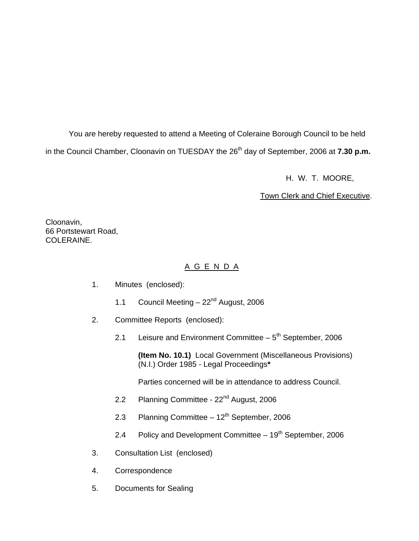You are hereby requested to attend a Meeting of Coleraine Borough Council to be held in the Council Chamber, Cloonavin on TUESDAY the 26<sup>th</sup> day of September, 2006 at **7.30 p.m.** 

H. W. T. MOORE,

Town Clerk and Chief Executive.

Cloonavin, 66 Portstewart Road, COLERAINE.

# A G E N D A

- 1. Minutes (enclosed):
	- 1.1 Council Meeting  $-22<sup>nd</sup>$  August, 2006
- 2. Committee Reports (enclosed):
	- 2.1 Leisure and Environment Committee  $-5<sup>th</sup>$  September, 2006

 **(Item No. 10.1)** Local Government (Miscellaneous Provisions) (N.I.) Order 1985 - Legal Proceedings**\*** 

Parties concerned will be in attendance to address Council.

- 2.2 Planning Committee 22<sup>nd</sup> August, 2006
- 2.3 Planning Committee  $-12^{th}$  September, 2006
- 2.4 Policy and Development Committee  $-19<sup>th</sup>$  September, 2006
- 3. Consultation List (enclosed)
- 4. Correspondence
- 5. Documents for Sealing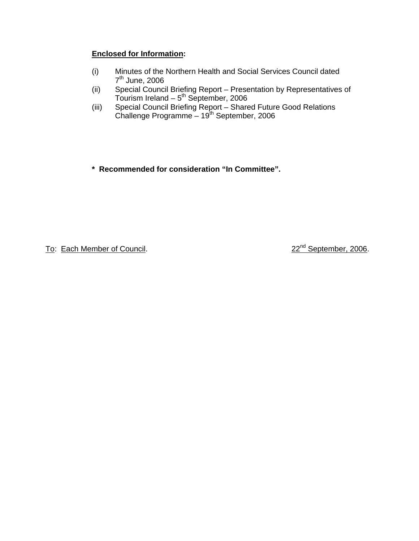# **Enclosed for Information:**

- (i) Minutes of the Northern Health and Social Services Council dated 7th June, 2006
- (ii) Special Council Briefing Report Presentation by Representatives of Tourism Ireland  $-5<sup>th</sup>$  September, 2006
- (iii) Special Council Briefing Report Shared Future Good Relations Challenge Programme - 19th September, 2006

**\* Recommended for consideration "In Committee".** 

To: Each Member of Council. 22<sup>nd</sup> September, 2006.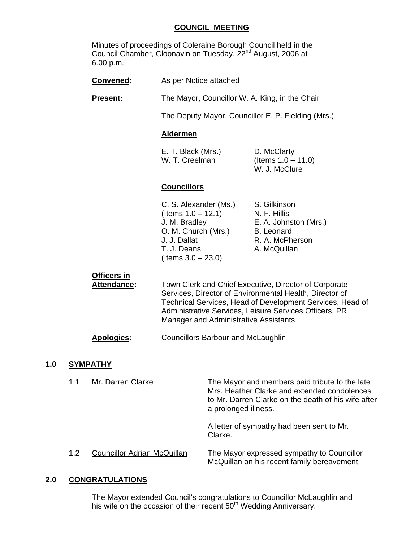#### **COUNCIL MEETING**

 Minutes of proceedings of Coleraine Borough Council held in the Council Chamber, Cloonavin on Tuesday, 22<sup>nd</sup> August, 2006 at 6.00 p.m.

| Convened:                                | As per Notice attached                                                                                                                                                                                                                                                           |                                                                                                               |
|------------------------------------------|----------------------------------------------------------------------------------------------------------------------------------------------------------------------------------------------------------------------------------------------------------------------------------|---------------------------------------------------------------------------------------------------------------|
| <b>Present:</b>                          | The Mayor, Councillor W. A. King, in the Chair                                                                                                                                                                                                                                   |                                                                                                               |
|                                          | The Deputy Mayor, Councillor E. P. Fielding (Mrs.)                                                                                                                                                                                                                               |                                                                                                               |
|                                          | <b>Aldermen</b>                                                                                                                                                                                                                                                                  |                                                                                                               |
|                                          | E. T. Black (Mrs.)<br>W. T. Creelman                                                                                                                                                                                                                                             | D. McClarty<br>(Items $1.0 - 11.0$ )<br>W. J. McClure                                                         |
|                                          | <b>Councillors</b>                                                                                                                                                                                                                                                               |                                                                                                               |
|                                          | C. S. Alexander (Ms.)<br>(Items $1.0 - 12.1$ )<br>J. M. Bradley<br>O. M. Church (Mrs.)<br>J. J. Dallat<br>T. J. Deans<br>(Items $3.0 - 23.0$ )                                                                                                                                   | S. Gilkinson<br>N. F. Hillis<br>E. A. Johnston (Mrs.)<br><b>B.</b> Leonard<br>R. A. McPherson<br>A. McQuillan |
| <b>Officers in</b><br><b>Attendance:</b> | Town Clerk and Chief Executive, Director of Corporate<br>Services, Director of Environmental Health, Director of<br>Technical Services, Head of Development Services, Head of<br>Administrative Services, Leisure Services Officers, PR<br>Manager and Administrative Assistants |                                                                                                               |

#### **Apologies:** Councillors Barbour and McLaughlin

#### **1.0 SYMPATHY**

| 1.1 | Mr. Darren Clarke                  | The Mayor and members paid tribute to the late<br>Mrs. Heather Clarke and extended condolences<br>to Mr. Darren Clarke on the death of his wife after<br>a prolonged illness. |
|-----|------------------------------------|-------------------------------------------------------------------------------------------------------------------------------------------------------------------------------|
|     |                                    | A letter of sympathy had been sent to Mr.<br>Clarke.                                                                                                                          |
| 1.2 | <b>Councillor Adrian McQuillan</b> | The Mayor expressed sympathy to Councillor<br>McQuillan on his recent family bereavement.                                                                                     |

## **2.0 CONGRATULATIONS**

The Mayor extended Council's congratulations to Councillor McLaughlin and his wife on the occasion of their recent 50<sup>th</sup> Wedding Anniversary.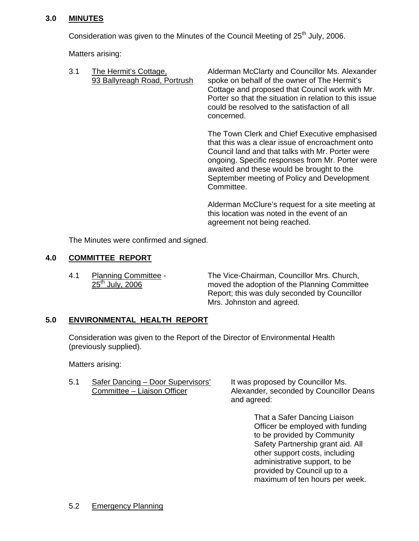## **3.0 MINUTES**

Consideration was given to the Minutes of the Council Meeting of 25<sup>th</sup> July, 2006.

Matters arising:

| 3.1 | The Hermit's Cottage,<br>93 Ballyreagh Road, Portrush | Alderman McClarty and Councillor Ms. Alexander<br>spoke on behalf of the owner of The Hermit's<br>Cottage and proposed that Council work with Mr.<br>Porter so that the situation in relation to this issue<br>could be resolved to the satisfaction of all<br>concerned.                             |
|-----|-------------------------------------------------------|-------------------------------------------------------------------------------------------------------------------------------------------------------------------------------------------------------------------------------------------------------------------------------------------------------|
|     |                                                       | The Town Clerk and Chief Executive emphasised<br>that this was a clear issue of encroachment onto<br>Council land and that talks with Mr. Porter were<br>ongoing. Specific responses from Mr. Porter were<br>awaited and these would be brought to the<br>September meeting of Policy and Development |

Committee. Alderman McClure's request for a site meeting at this location was noted in the event of an

agreement not being reached.

The Minutes were confirmed and signed.

## **4.0 COMMITTEE REPORT**

4.1 Planning Committee - The Vice-Chairman, Councillor Mrs. Church,  $25<sup>th</sup>$  July, 2006 moved the adoption of the Planning Committee Report; this was duly seconded by Councillor Mrs. Johnston and agreed.

# **5.0 ENVIRONMENTAL HEALTH REPORT**

 Consideration was given to the Report of the Director of Environmental Health (previously supplied).

Matters arising:

5.1 Safer Dancing - Door Supervisors' It was proposed by Councillor Ms.

Committee – Liaison Officer Alexander, seconded by Councillor Deans and agreed:

> That a Safer Dancing Liaison Officer be employed with funding to be provided by Community Safety Partnership grant aid. All other support costs, including administrative support, to be provided by Council up to a maximum of ten hours per week.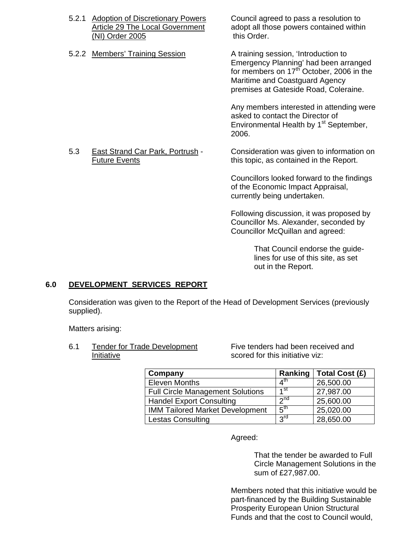- 5.2.1 Adoption of Discretionary Powers Council agreed to pass a resolution to (NI) Order 2005 this Order.
- 5.2.2 Members' Training Session A training session, 'Introduction to

Article 29 The Local Government adopt all those powers contained within

Emergency Planning' had been arranged for members on 17<sup>th</sup> October, 2006 in the Maritime and Coastguard Agency premises at Gateside Road, Coleraine.

Any members interested in attending were asked to contact the Director of Environmental Health by 1<sup>st</sup> September, 2006.

 5.3 East Strand Car Park, Portrush - Consideration was given to information on Future Events **this topic, as contained in the Report.** 

 Councillors looked forward to the findings of the Economic Impact Appraisal, currently being undertaken.

Following discussion, it was proposed by Councillor Ms. Alexander, seconded by Councillor McQuillan and agreed:

> That Council endorse the guidelines for use of this site, as set out in the Report.

# **6.0 DEVELOPMENT SERVICES REPORT**

Consideration was given to the Report of the Head of Development Services (previously supplied).

Matters arising:

 6.1 Tender for Trade Development Five tenders had been received and Initiative **Initiative** scored for this initiative viz:

| Company                                 | Ranking                    | Total Cost (£) |
|-----------------------------------------|----------------------------|----------------|
| <b>Eleven Months</b>                    | $\overline{4}^{\text{th}}$ | 26,500.00      |
| <b>Full Circle Management Solutions</b> | 1 <sub>st</sub>            | 27,987.00      |
| <b>Handel Export Consulting</b>         | $\gamma$ nd                | 25,600.00      |
| <b>IMM Tailored Market Development</b>  | 5 <sup>th</sup>            | 25,020.00      |
| <b>Lestas Consulting</b>                | 3rd                        | 28,650.00      |

Agreed:

 That the tender be awarded to Full Circle Management Solutions in the sum of £27,987.00.

Members noted that this initiative would be part-financed by the Building Sustainable Prosperity European Union Structural Funds and that the cost to Council would,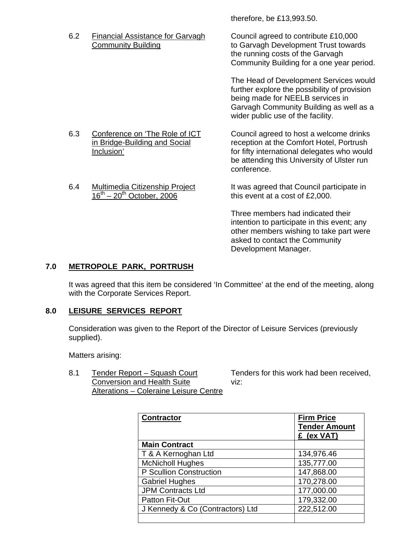therefore, be £13,993.50.

6.2 Financial Assistance for Garvagh Council agreed to contribute £10,000

Community Building **to Garvagh Development Trust towards** the running costs of the Garvagh Community Building for a one year period.

> The Head of Development Services would further explore the possibility of provision being made for NEELB services in Garvagh Community Building as well as a wider public use of the facility.

6.3 Conference on 'The Role of ICT Council agreed to host a welcome drinks<br>in Bridge-Building and Social reception at the Comfort Hotel, Portrush reception at the Comfort Hotel, Portrush Inclusion' **Inclusion' for fifty international delegates who would** be attending this University of Ulster run conference.

 6.4 Multimedia Citizenship Project It was agreed that Council participate in  $16<sup>th</sup> - 20<sup>th</sup>$  October, 2006 this event at a cost of £2,000.

> Three members had indicated their intention to participate in this event; any other members wishing to take part were asked to contact the Community Development Manager.

# **7.0 METROPOLE PARK, PORTRUSH**

It was agreed that this item be considered 'In Committee' at the end of the meeting, along with the Corporate Services Report.

# **8.0 LEISURE SERVICES REPORT**

Consideration was given to the Report of the Director of Leisure Services (previously supplied).

Matters arising:

8.1 Tender Report – Squash Court Tenders for this work had been received, Conversion and Health Suite viz: Alterations – Coleraine Leisure Centre

| <b>Contractor</b>                | <b>Firm Price</b><br><b>Tender Amount</b><br>£ (ex VAT) |
|----------------------------------|---------------------------------------------------------|
| <b>Main Contract</b>             |                                                         |
| T & A Kernoghan Ltd              | 134,976.46                                              |
| <b>McNicholl Hughes</b>          | 135,777.00                                              |
| P Scullion Construction          | 147,868.00                                              |
| <b>Gabriel Hughes</b>            | 170,278.00                                              |
| <b>JPM Contracts Ltd</b>         | 177,000.00                                              |
| Patton Fit-Out                   | 179,332.00                                              |
| J Kennedy & Co (Contractors) Ltd | 222,512.00                                              |
|                                  |                                                         |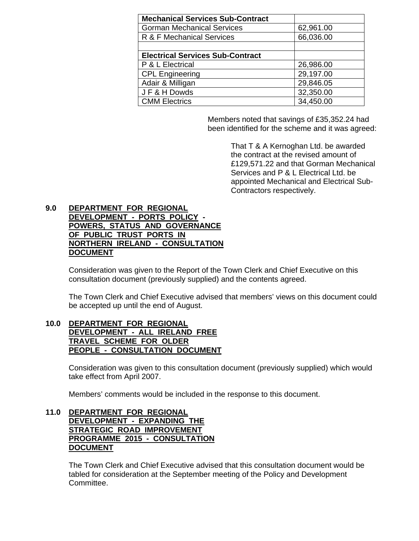| <b>Mechanical Services Sub-Contract</b> |           |
|-----------------------------------------|-----------|
| <b>Gorman Mechanical Services</b>       | 62,961.00 |
| R & F Mechanical Services               | 66,036.00 |
|                                         |           |
| <b>Electrical Services Sub-Contract</b> |           |
| P & L Electrical                        | 26,986.00 |
| <b>CPL Engineering</b>                  | 29,197.00 |
| Adair & Milligan                        | 29,846.05 |
| JF&HDowds                               | 32,350.00 |
| <b>CMM Electrics</b>                    | 34,450.00 |

Members noted that savings of £35,352.24 had been identified for the scheme and it was agreed:

> That T & A Kernoghan Ltd. be awarded the contract at the revised amount of £129,571.22 and that Gorman Mechanical Services and P & L Electrical Ltd. be appointed Mechanical and Electrical Sub-Contractors respectively.

#### **9.0 DEPARTMENT FOR REGIONAL DEVELOPMENT - PORTS POLICY - POWERS, STATUS AND GOVERNANCE OF PUBLIC TRUST PORTS IN NORTHERN IRELAND - CONSULTATION DOCUMENT**

Consideration was given to the Report of the Town Clerk and Chief Executive on this consultation document (previously supplied) and the contents agreed.

 The Town Clerk and Chief Executive advised that members' views on this document could be accepted up until the end of August.

#### **10.0 DEPARTMENT FOR REGIONAL DEVELOPMENT - ALL IRELAND FREE TRAVEL SCHEME FOR OLDER PEOPLE - CONSULTATION DOCUMENT**

 Consideration was given to this consultation document (previously supplied) which would take effect from April 2007.

Members' comments would be included in the response to this document.

#### **11.0 DEPARTMENT FOR REGIONAL DEVELOPMENT - EXPANDING THE STRATEGIC ROAD IMPROVEMENT PROGRAMME 2015 - CONSULTATION DOCUMENT**

The Town Clerk and Chief Executive advised that this consultation document would be tabled for consideration at the September meeting of the Policy and Development Committee.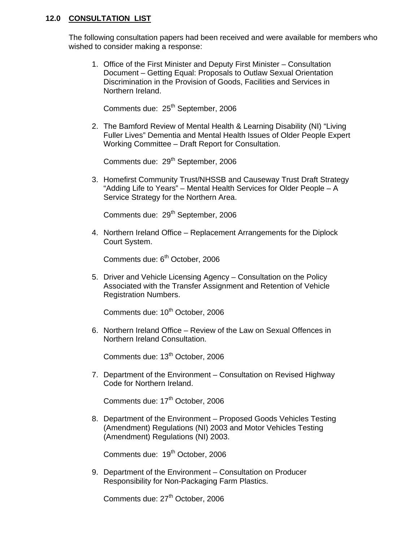#### **12.0 CONSULTATION LIST**

The following consultation papers had been received and were available for members who wished to consider making a response:

1. Office of the First Minister and Deputy First Minister – Consultation Document – Getting Equal: Proposals to Outlaw Sexual Orientation Discrimination in the Provision of Goods, Facilities and Services in Northern Ireland.

Comments due: 25<sup>th</sup> September, 2006

2. The Bamford Review of Mental Health & Learning Disability (NI) "Living Fuller Lives" Dementia and Mental Health Issues of Older People Expert Working Committee – Draft Report for Consultation.

Comments due: 29<sup>th</sup> September, 2006

3. Homefirst Community Trust/NHSSB and Causeway Trust Draft Strategy "Adding Life to Years" – Mental Health Services for Older People – A Service Strategy for the Northern Area.

Comments due: 29<sup>th</sup> September, 2006

4. Northern Ireland Office – Replacement Arrangements for the Diplock Court System.

Comments due: 6<sup>th</sup> October, 2006

5. Driver and Vehicle Licensing Agency – Consultation on the Policy Associated with the Transfer Assignment and Retention of Vehicle Registration Numbers.

Comments due: 10<sup>th</sup> October, 2006

6. Northern Ireland Office – Review of the Law on Sexual Offences in Northern Ireland Consultation.

Comments due: 13<sup>th</sup> October, 2006

7. Department of the Environment – Consultation on Revised Highway Code for Northern Ireland.

Comments due: 17<sup>th</sup> October, 2006

8. Department of the Environment – Proposed Goods Vehicles Testing (Amendment) Regulations (NI) 2003 and Motor Vehicles Testing (Amendment) Regulations (NI) 2003.

Comments due: 19<sup>th</sup> October, 2006

9. Department of the Environment – Consultation on Producer Responsibility for Non-Packaging Farm Plastics.

Comments due: 27<sup>th</sup> October, 2006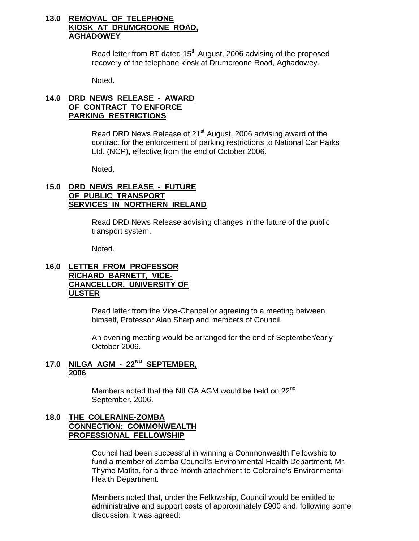### **13.0 REMOVAL OF TELEPHONE KIOSK AT DRUMCROONE ROAD, AGHADOWEY**

Read letter from BT dated 15<sup>th</sup> August, 2006 advising of the proposed recovery of the telephone kiosk at Drumcroone Road, Aghadowey.

Noted.

# **14.0 DRD NEWS RELEASE - AWARD OF CONTRACT TO ENFORCE PARKING RESTRICTIONS**

Read DRD News Release of 21<sup>st</sup> August, 2006 advising award of the contract for the enforcement of parking restrictions to National Car Parks Ltd. (NCP), effective from the end of October 2006.

Noted.

#### **15.0 DRD NEWS RELEASE - FUTURE OF PUBLIC TRANSPORT SERVICES IN NORTHERN IRELAND**

Read DRD News Release advising changes in the future of the public transport system.

Noted.

#### **16.0 LETTER FROM PROFESSOR RICHARD BARNETT, VICE- CHANCELLOR, UNIVERSITY OF ULSTER**

 Read letter from the Vice-Chancellor agreeing to a meeting between himself, Professor Alan Sharp and members of Council.

 An evening meeting would be arranged for the end of September/early October 2006.

# **17.0 NILGA AGM - 22ND SEPTEMBER, 2006**

Members noted that the NILGA AGM would be held on 22<sup>nd</sup> September, 2006.

## **18.0 THE COLERAINE-ZOMBA CONNECTION: COMMONWEALTH PROFESSIONAL FELLOWSHIP**

Council had been successful in winning a Commonwealth Fellowship to fund a member of Zomba Council's Environmental Health Department, Mr. Thyme Matita, for a three month attachment to Coleraine's Environmental Health Department.

Members noted that, under the Fellowship, Council would be entitled to administrative and support costs of approximately £900 and, following some discussion, it was agreed: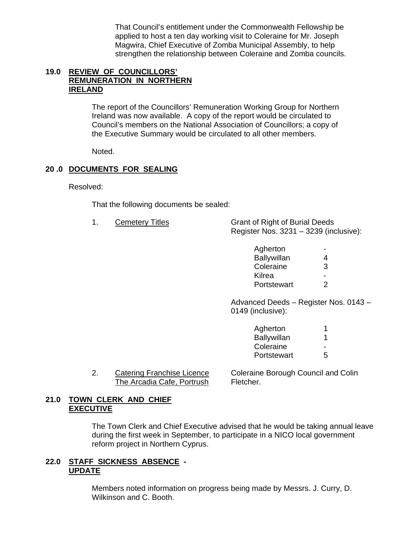That Council's entitlement under the Commonwealth Fellowship be applied to host a ten day working visit to Coleraine for Mr. Joseph Magwira, Chief Executive of Zomba Municipal Assembly, to help strengthen the relationship between Coleraine and Zomba councils.

### **19.0 REVIEW OF COUNCILLORS' REMUNERATION IN NORTHERN IRELAND**

 The report of the Councillors' Remuneration Working Group for Northern Ireland was now available. A copy of the report would be circulated to Council's members on the National Association of Councillors; a copy of the Executive Summary would be circulated to all other members.

Noted.

# **20 .0 DOCUMENTS FOR SEALING**

Resolved:

That the following documents be sealed:

- 
- 1. Cemetery Titles Grant of Right of Burial Deeds Register Nos. 3231 – 3239 (inclusive):

| Agherton    | $\overline{\phantom{a}}$ |
|-------------|--------------------------|
| Ballywillan | 4                        |
| Coleraine   | 3                        |
| Kilrea      | $\overline{\phantom{a}}$ |
| Portstewart | 2                        |

Advanced Deeds – Register Nos. 0143 – 0149 (inclusive):

| Agherton    |   |
|-------------|---|
| Ballywillan |   |
| Coleraine   | ٠ |
| Portstewart | 5 |
|             |   |

The Arcadia Cafe, Portrush Fletcher.

2. Catering Franchise Licence Coleraine Borough Council and Colin

## **21.0 TOWN CLERK AND CHIEF EXECUTIVE**

 The Town Clerk and Chief Executive advised that he would be taking annual leave during the first week in September, to participate in a NICO local government reform project in Northern Cyprus.

## **22.0 STAFF SICKNESS ABSENCE - UPDATE**

 Members noted information on progress being made by Messrs. J. Curry, D. Wilkinson and C. Booth.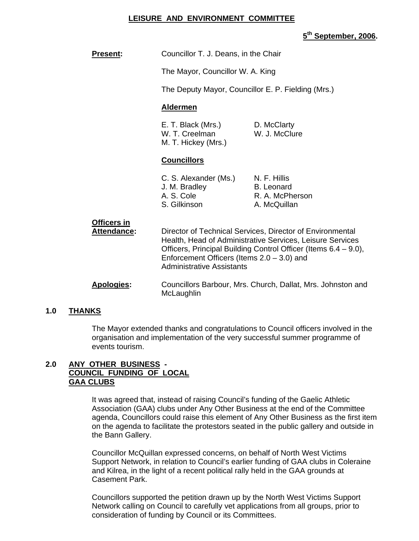#### **LEISURE AND ENVIRONMENT COMMITTEE**

#### **5th September, 2006.**

| <b>Present:</b> | Councillor T. J. Deans, in the Chair |
|-----------------|--------------------------------------|
|-----------------|--------------------------------------|

The Mayor, Councillor W. A. King

The Deputy Mayor, Councillor E. P. Fielding (Mrs.)

#### **Aldermen**

| E. T. Black (Mrs.)  | D. McClarty   |
|---------------------|---------------|
| W. T. Creelman      | W. J. McClure |
| M. T. Hickey (Mrs.) |               |

#### **Councillors**

| C. S. Alexander (Ms.) | N. F. Hillis    |
|-----------------------|-----------------|
| J. M. Bradley         | B. Leonard      |
| A. S. Cole            | R. A. McPherson |
| S. Gilkinson          | A. McQuillan    |
|                       |                 |

| A I <del>.</del>            | Enforcement Officers (Items $2.0 - 3.0$ ) and<br><b>Administrative Assistants</b><br>Osiniallana Dankarini Musi Okimaki Dallati Musi ilakuwatan angi                                      |
|-----------------------------|-------------------------------------------------------------------------------------------------------------------------------------------------------------------------------------------|
| UIIICEIS III<br>Attendance: | Director of Technical Services, Director of Environmental<br>Health, Head of Administrative Services, Leisure Services<br>Officers, Principal Building Control Officer (Items 6.4 – 9.0), |

#### **Apologies:** Councillors Barbour, Mrs. Church, Dallat, Mrs. Johnston and **McLaughlin**

#### **1.0 THANKS**

 The Mayor extended thanks and congratulations to Council officers involved in the organisation and implementation of the very successful summer programme of events tourism.

#### **2.0 ANY OTHER BUSINESS - COUNCIL FUNDING OF LOCAL GAA CLUBS**

**Officers in**

It was agreed that, instead of raising Council's funding of the Gaelic Athletic Association (GAA) clubs under Any Other Business at the end of the Committee agenda, Councillors could raise this element of Any Other Business as the first item on the agenda to facilitate the protestors seated in the public gallery and outside in the Bann Gallery.

Councillor McQuillan expressed concerns, on behalf of North West Victims Support Network, in relation to Council's earlier funding of GAA clubs in Coleraine and Kilrea, in the light of a recent political rally held in the GAA grounds at Casement Park.

Councillors supported the petition drawn up by the North West Victims Support Network calling on Council to carefully vet applications from all groups, prior to consideration of funding by Council or its Committees.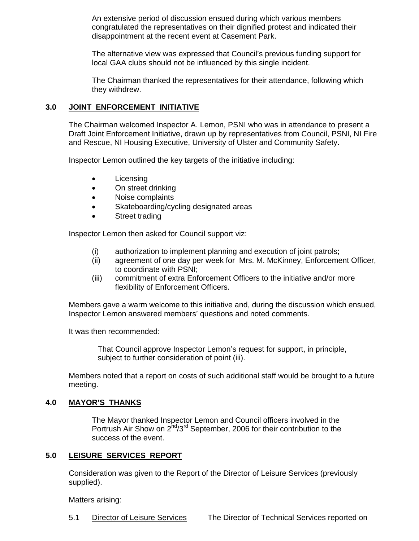An extensive period of discussion ensued during which various members congratulated the representatives on their dignified protest and indicated their disappointment at the recent event at Casement Park.

The alternative view was expressed that Council's previous funding support for local GAA clubs should not be influenced by this single incident.

The Chairman thanked the representatives for their attendance, following which they withdrew.

# **3.0 JOINT ENFORCEMENT INITIATIVE**

The Chairman welcomed Inspector A. Lemon, PSNI who was in attendance to present a Draft Joint Enforcement Initiative, drawn up by representatives from Council, PSNI, NI Fire and Rescue, NI Housing Executive, University of Ulster and Community Safety.

Inspector Lemon outlined the key targets of the initiative including:

- Licensing
- On street drinking
- Noise complaints
- Skateboarding/cycling designated areas
- Street trading

Inspector Lemon then asked for Council support viz:

- (i) authorization to implement planning and execution of joint patrols;
- (ii) agreement of one day per week for Mrs. M. McKinney, Enforcement Officer, to coordinate with PSNI;
- (iii) commitment of extra Enforcement Officers to the initiative and/or more flexibility of Enforcement Officers.

Members gave a warm welcome to this initiative and, during the discussion which ensued, Inspector Lemon answered members' questions and noted comments.

It was then recommended:

 That Council approve Inspector Lemon's request for support, in principle, subject to further consideration of point (iii).

Members noted that a report on costs of such additional staff would be brought to a future meeting.

#### **4.0 MAYOR'S THANKS**

 The Mayor thanked Inspector Lemon and Council officers involved in the Portrush Air Show on 2<sup>nd</sup>/3<sup>rd</sup> September, 2006 for their contribution to the success of the event.

#### **5.0 LEISURE SERVICES REPORT**

 Consideration was given to the Report of the Director of Leisure Services (previously supplied).

Matters arising: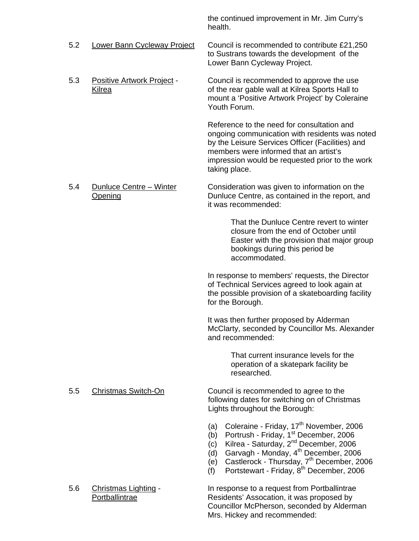the continued improvement in Mr. Jim Curry's health.

- 5.2 Lower Bann Cycleway Project Council is recommended to contribute £21,250 to Sustrans towards the development of the Lower Bann Cycleway Project.
- 5.3 Positive Artwork Project Council is recommended to approve the use Kilrea of the rear gable wall at Kilrea Sports Hall to mount a 'Positive Artwork Project' by Coleraine Youth Forum.

Reference to the need for consultation and ongoing communication with residents was noted by the Leisure Services Officer (Facilities) and members were informed that an artist's impression would be requested prior to the work taking place.

 5.4 Dunluce Centre – Winter Consideration was given to information on the Opening Dunluce Centre, as contained in the report, and it was recommended:

> That the Dunluce Centre revert to winter closure from the end of October until Easter with the provision that major group bookings during this period be accommodated.

 In response to members' requests, the Director of Technical Services agreed to look again at the possible provision of a skateboarding facility for the Borough.

It was then further proposed by Alderman McClarty, seconded by Councillor Ms. Alexander and recommended:

> That current insurance levels for the operation of a skatepark facility be researched.

- 5.5 Christmas Switch-On Council is recommended to agree to the following dates for switching on of Christmas Lights throughout the Borough:
	- (a) Coleraine Friday,  $17<sup>th</sup>$  November, 2006
	- (b) Portrush Friday, 1<sup>st</sup> December, 2006
	- (c) Kilrea Saturday, 2nd December, 2006
	- $(d)$  Garvagh Monday,  $4<sup>th</sup>$  December, 2006
	- $\overrightarrow{e}$  Castlerock Thursday,  $7<sup>th</sup>$  December, 2006
	- $(f)$  Portstewart Friday,  $8<sup>th</sup>$  December, 2006

 5.6 Christmas Lighting - In response to a request from Portballintrae Portballintrae Residents' Assocation, it was proposed by Councillor McPherson, seconded by Alderman Mrs. Hickey and recommended: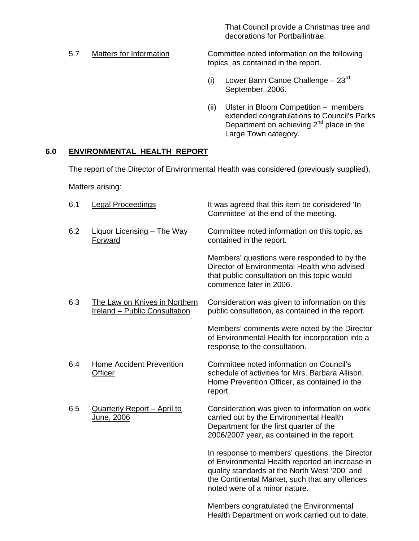That Council provide a Christmas tree and decorations for Portballintrae.

 5.7 Matters for Information Committee noted information on the following topics, as contained in the report.

- (i) Lower Bann Canoe Challenge  $-23<sup>rd</sup>$ September, 2006.
- (ii) Ulster in Bloom Competition members extended congratulations to Council's Parks Department on achieving  $2^{nd}$  place in the Large Town category.

Health Department on work carried out to date.

# **6.0 ENVIRONMENTAL HEALTH REPORT**

The report of the Director of Environmental Health was considered (previously supplied).

Matters arising:

| 6.1 | <b>Legal Proceedings</b>                                              | It was agreed that this item be considered 'In<br>Committee' at the end of the meeting.                                                                                                                                                |
|-----|-----------------------------------------------------------------------|----------------------------------------------------------------------------------------------------------------------------------------------------------------------------------------------------------------------------------------|
| 6.2 | <b>Liquor Licensing - The Way</b><br><b>Forward</b>                   | Committee noted information on this topic, as<br>contained in the report.                                                                                                                                                              |
|     |                                                                       | Members' questions were responded to by the<br>Director of Environmental Health who advised<br>that public consultation on this topic would<br>commence later in 2006.                                                                 |
| 6.3 | The Law on Knives in Northern<br><b>Ireland - Public Consultation</b> | Consideration was given to information on this<br>public consultation, as contained in the report.                                                                                                                                     |
|     |                                                                       | Members' comments were noted by the Director<br>of Environmental Health for incorporation into a<br>response to the consultation.                                                                                                      |
| 6.4 | <b>Home Accident Prevention</b><br><b>Officer</b>                     | Committee noted information on Council's<br>schedule of activities for Mrs. Barbara Allison,<br>Home Prevention Officer, as contained in the<br>report.                                                                                |
| 6.5 | <b>Quarterly Report - April to</b><br>June, 2006                      | Consideration was given to information on work<br>carried out by the Environmental Health<br>Department for the first quarter of the<br>2006/2007 year, as contained in the report.                                                    |
|     |                                                                       | In response to members' questions, the Director<br>of Environmental Health reported an increase in<br>quality standards at the North West '200' and<br>the Continental Market, such that any offences<br>noted were of a minor nature. |
|     |                                                                       | Members congratulated the Environmental                                                                                                                                                                                                |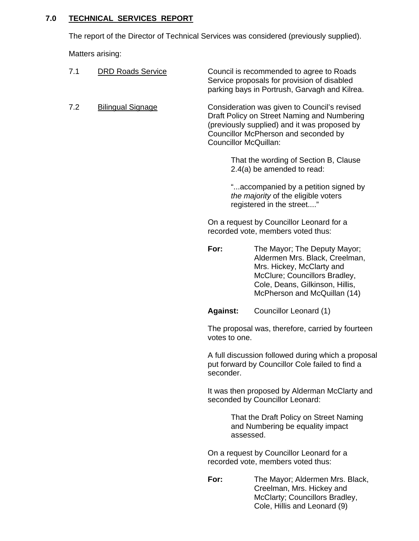# **7.0 TECHNICAL SERVICES REPORT**

The report of the Director of Technical Services was considered (previously supplied).

Matters arising:

| 7.1 | <b>DRD Roads Service</b> |                       | Council is recommended to agree to Roads<br>Service proposals for provision of disabled<br>parking bays in Portrush, Garvagh and Kilrea.                                                        |
|-----|--------------------------|-----------------------|-------------------------------------------------------------------------------------------------------------------------------------------------------------------------------------------------|
| 7.2 | <b>Bilingual Signage</b> | Councillor McQuillan: | Consideration was given to Council's revised<br>Draft Policy on Street Naming and Numbering<br>(previously supplied) and it was proposed by<br>Councillor McPherson and seconded by             |
|     |                          |                       | That the wording of Section B, Clause<br>2.4(a) be amended to read:                                                                                                                             |
|     |                          |                       | "accompanied by a petition signed by<br>the majority of the eligible voters<br>registered in the street"                                                                                        |
|     |                          |                       | On a request by Councillor Leonard for a<br>recorded vote, members voted thus:                                                                                                                  |
|     |                          | For:                  | The Mayor; The Deputy Mayor;<br>Aldermen Mrs. Black, Creelman,<br>Mrs. Hickey, McClarty and<br>McClure; Councillors Bradley,<br>Cole, Deans, Gilkinson, Hillis,<br>McPherson and McQuillan (14) |
|     |                          | <b>Against:</b>       | Councillor Leonard (1)                                                                                                                                                                          |
|     |                          | votes to one.         | The proposal was, therefore, carried by fourteen                                                                                                                                                |
|     |                          | seconder.             | A full discussion followed during which a proposal<br>put forward by Councillor Cole failed to find a                                                                                           |
|     |                          |                       | It was then proposed by Alderman McClarty and<br>seconded by Councillor Leonard:                                                                                                                |
|     |                          | assessed.             | That the Draft Policy on Street Naming<br>and Numbering be equality impact                                                                                                                      |
|     |                          |                       | On a request by Councillor Leonard for a<br>recorded vote, members voted thus:                                                                                                                  |
|     |                          | For:                  | The Mayor; Aldermen Mrs. Black,<br>Creelman, Mrs. Hickey and<br>McClarty; Councillors Bradley,                                                                                                  |

Cole, Hillis and Leonard (9)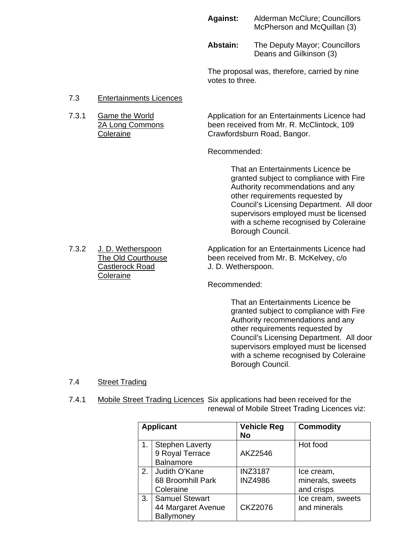#### **Against:** Alderman McClure; Councillors McPherson and McQuillan (3)

**Abstain:** The Deputy Mayor; Councillors Deans and Gilkinson (3)

The proposal was, therefore, carried by nine votes to three.

#### 7.3 Entertainments Licences

7.3.1 Game the World Application for an Entertainments Licence had 2A Long Commons been received from Mr. R. McClintock, 109 Coleraine Crawfordsburn Road, Bangor.

Recommended:

 That an Entertainments Licence be granted subject to compliance with Fire Authority recommendations and any other requirements requested by Council's Licensing Department. All door supervisors employed must be licensed with a scheme recognised by Coleraine Borough Council.

7.3.2 J. D. Wetherspoon Application for an Entertainments Licence had<br>The Old Courthouse been received from Mr. B. McKelvey, c/o The Old Courthouse been received from Mr. B. McKelvey, c/o<br>
Castlerock Road J. D. Wetherspoon. J. D. Wetherspoon.

Recommended:

That an Entertainments Licence be granted subject to compliance with Fire Authority recommendations and any other requirements requested by Council's Licensing Department. All door supervisors employed must be licensed with a scheme recognised by Coleraine Borough Council.

#### 7.4 Street Trading

 7.4.1 Mobile Street Trading Licences Six applications had been received for the renewal of Mobile Street Trading Licences viz:

| <b>Applicant</b> |                                                               | <b>Vehicle Reg</b><br>No         | <b>Commodity</b>                             |
|------------------|---------------------------------------------------------------|----------------------------------|----------------------------------------------|
| 1.               | <b>Stephen Laverty</b><br>9 Royal Terrace<br><b>Balnamore</b> | AKZ2546                          | Hot food                                     |
| 2.               | l Judith O'Kane<br>68 Broomhill Park<br>Coleraine             | <b>INZ3187</b><br><b>INZ4986</b> | Ice cream,<br>minerals, sweets<br>and crisps |
| 3.               | <b>Samuel Stewart</b><br>44 Margaret Avenue<br>Ballymoney     | <b>CKZ2076</b>                   | Ice cream, sweets<br>and minerals            |

**Coleraine**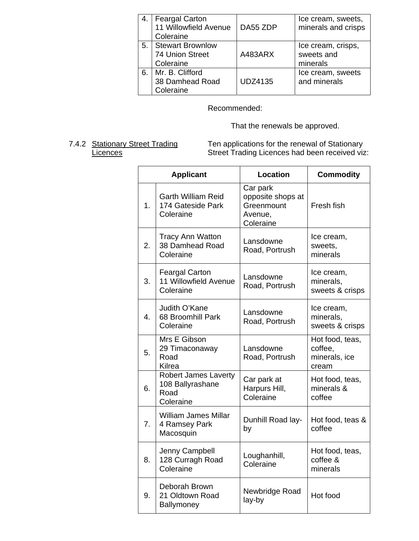| 4. | <b>Feargal Carton</b><br>11 Willowfield Avenue<br>Coleraine | DA55 ZDP       | Ice cream, sweets,<br>minerals and crisps    |
|----|-------------------------------------------------------------|----------------|----------------------------------------------|
| 5. | <b>Stewart Brownlow</b><br>74 Union Street<br>Coleraine     | A483ARX        | Ice cream, crisps,<br>sweets and<br>minerals |
| 6. | Mr. B. Clifford<br>38 Damhead Road<br>Coleraine             | <b>UDZ4135</b> | Ice cream, sweets<br>and minerals            |

# Recommended:

That the renewals be approved.

7.4.2 Stationary Street Trading Ten applications for the renewal of Stationary Licences **Street Trading Licences had been received viz:** 

| <b>Applicant</b> |                                                                      | <b>Location</b>                                                     | <b>Commodity</b>                                     |
|------------------|----------------------------------------------------------------------|---------------------------------------------------------------------|------------------------------------------------------|
| 1.               | <b>Garth William Reid</b><br>174 Gateside Park<br>Coleraine          | Car park<br>opposite shops at<br>Greenmount<br>Avenue,<br>Coleraine | Fresh fish                                           |
| 2.               | <b>Tracy Ann Watton</b><br>38 Damhead Road<br>Coleraine              | Lansdowne<br>Road, Portrush                                         | Ice cream,<br>sweets,<br>minerals                    |
| 3.               | <b>Feargal Carton</b><br>11 Willowfield Avenue<br>Coleraine          | Lansdowne<br>Road, Portrush                                         | Ice cream,<br>minerals,<br>sweets & crisps           |
| $\overline{4}$ . | Judith O'Kane<br>68 Broomhill Park<br>Coleraine                      | Lansdowne<br>Road, Portrush                                         | Ice cream,<br>minerals,<br>sweets & crisps           |
| 5.               | Mrs E Gibson<br>29 Timaconaway<br>Road<br>Kilrea                     | Lansdowne<br>Road, Portrush                                         | Hot food, teas,<br>coffee,<br>minerals, ice<br>cream |
| 6.               | <b>Robert James Laverty</b><br>108 Ballyrashane<br>Road<br>Coleraine | Car park at<br>Harpurs Hill,<br>Coleraine                           | Hot food, teas,<br>minerals &<br>coffee              |
| 7.               | <b>William James Millar</b><br>4 Ramsey Park<br>Macosquin            | Dunhill Road lay-<br>by                                             | Hot food, teas &<br>coffee                           |
| 8.               | Jenny Campbell<br>128 Curragh Road<br>Coleraine                      | Loughanhill,<br>Coleraine                                           | Hot food, teas,<br>coffee &<br>minerals              |
| 9.               | Deborah Brown<br>21 Oldtown Road<br>Ballymoney                       | Newbridge Road<br>lay-by                                            | Hot food                                             |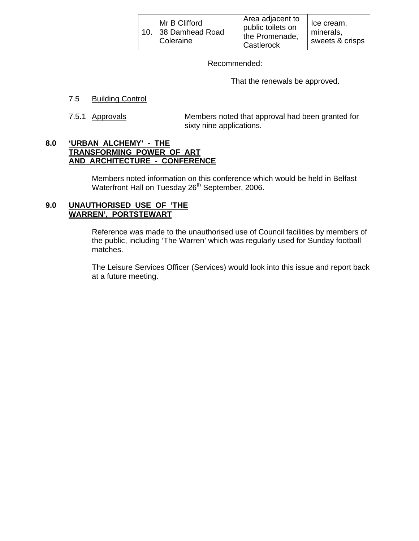|  | Mr B Clifford<br>10. 38 Damhead Road<br>Coleraine | Area adjacent to<br>public toilets on<br>the Promenade,<br>Castlerock | Ice cream,<br>minerals,<br>sweets & crisps |
|--|---------------------------------------------------|-----------------------------------------------------------------------|--------------------------------------------|
|--|---------------------------------------------------|-----------------------------------------------------------------------|--------------------------------------------|

Recommended:

That the renewals be approved.

#### 7.5 Building Control

 7.5.1 Approvals Members noted that approval had been granted for sixty nine applications.

#### **8.0 'URBAN ALCHEMY' - THE TRANSFORMING POWER OF ART AND ARCHITECTURE - CONFERENCE**

 Members noted information on this conference which would be held in Belfast Waterfront Hall on Tuesday 26<sup>th</sup> September, 2006.

## **9.0 UNAUTHORISED USE OF 'THE WARREN', PORTSTEWART**

 Reference was made to the unauthorised use of Council facilities by members of the public, including 'The Warren' which was regularly used for Sunday football matches.

The Leisure Services Officer (Services) would look into this issue and report back at a future meeting.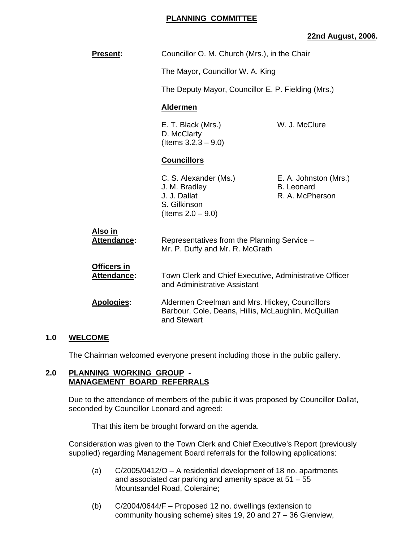## **PLANNING COMMITTEE**

## **22nd August, 2006.**

| <b>Present:</b>                          | Councillor O. M. Church (Mrs.), in the Chair                                                                         |                                                               |
|------------------------------------------|----------------------------------------------------------------------------------------------------------------------|---------------------------------------------------------------|
|                                          | The Mayor, Councillor W. A. King                                                                                     |                                                               |
|                                          | The Deputy Mayor, Councillor E. P. Fielding (Mrs.)                                                                   |                                                               |
|                                          | <b>Aldermen</b>                                                                                                      |                                                               |
|                                          | E. T. Black (Mrs.)<br>D. McClarty<br>(Items $3.2.3 - 9.0$ )                                                          | W. J. McClure                                                 |
|                                          | <b>Councillors</b>                                                                                                   |                                                               |
|                                          | C. S. Alexander (Ms.)<br>J. M. Bradley<br>J. J. Dallat<br>S. Gilkinson<br>(Items $2.0 - 9.0$ )                       | E. A. Johnston (Mrs.)<br><b>B.</b> Leonard<br>R. A. McPherson |
| <u>Also in</u><br>Attendance:            | Representatives from the Planning Service -<br>Mr. P. Duffy and Mr. R. McGrath                                       |                                                               |
| <b>Officers in</b><br><b>Attendance:</b> | Town Clerk and Chief Executive, Administrative Officer<br>and Administrative Assistant                               |                                                               |
| <b>Apologies:</b>                        | Aldermen Creelman and Mrs. Hickey, Councillors<br>Barbour, Cole, Deans, Hillis, McLaughlin, McQuillan<br>and Stewart |                                                               |

#### **1.0 WELCOME**

The Chairman welcomed everyone present including those in the public gallery.

#### **2.0 PLANNING WORKING GROUP - MANAGEMENT BOARD REFERRALS**

 Due to the attendance of members of the public it was proposed by Councillor Dallat, seconded by Councillor Leonard and agreed:

That this item be brought forward on the agenda.

 Consideration was given to the Town Clerk and Chief Executive's Report (previously supplied) regarding Management Board referrals for the following applications:

- (a) C/2005/0412/O A residential development of 18 no. apartments and associated car parking and amenity space at 51 – 55 Mountsandel Road, Coleraine;
- (b) C/2004/0644/F Proposed 12 no. dwellings (extension to community housing scheme) sites 19, 20 and 27 – 36 Glenview,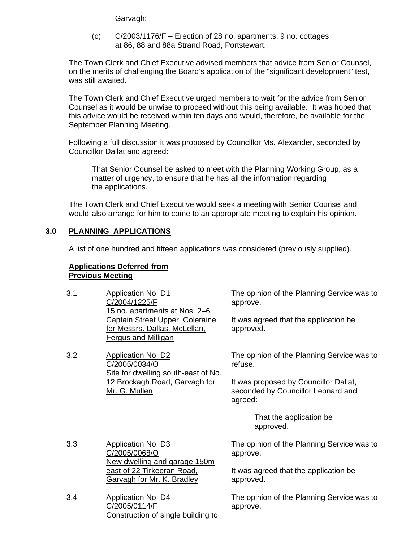Garvagh;

 (c) C/2003/1176/F – Erection of 28 no. apartments, 9 no. cottages at 86, 88 and 88a Strand Road, Portstewart.

 The Town Clerk and Chief Executive advised members that advice from Senior Counsel, on the merits of challenging the Board's application of the "significant development" test, was still awaited.

 The Town Clerk and Chief Executive urged members to wait for the advice from Senior Counsel as it would be unwise to proceed without this being available. It was hoped that this advice would be received within ten days and would, therefore, be available for the September Planning Meeting.

 Following a full discussion it was proposed by Councillor Ms. Alexander, seconded by Councillor Dallat and agreed:

 That Senior Counsel be asked to meet with the Planning Working Group, as a matter of urgency, to ensure that he has all the information regarding the applications.

 The Town Clerk and Chief Executive would seek a meeting with Senior Counsel and would also arrange for him to come to an appropriate meeting to explain his opinion.

# **3.0 PLANNING APPLICATIONS**

A list of one hundred and fifteen applications was considered (previously supplied).

### **Applications Deferred from Previous Meeting**

| 3.1 | Application No. D1<br>C/2004/1225/F<br>15 no. apartments at Nos. 2-6                           | The opinion of the Planning Service was to<br>approve.                                 |
|-----|------------------------------------------------------------------------------------------------|----------------------------------------------------------------------------------------|
|     | Captain Street Upper, Coleraine<br>for Messrs. Dallas, McLellan,<br><b>Fergus and Milligan</b> | It was agreed that the application be<br>approved.                                     |
| 3.2 | <b>Application No. D2</b><br>C/2005/0034/O<br>Site for dwelling south-east of No.              | The opinion of the Planning Service was to<br>refuse.                                  |
|     | 12 Brockagh Road, Garvagh for<br>Mr. G. Mullen                                                 | It was proposed by Councillor Dallat,<br>seconded by Councillor Leonard and<br>agreed: |
|     |                                                                                                | That the application be<br>approved.                                                   |
| 3.3 | <b>Application No. D3</b><br>C/2005/0068/O<br>New dwelling and garage 150m                     | The opinion of the Planning Service was to<br>approve.                                 |
|     | east of 22 Tirkeeran Road,<br><b>Garvagh for Mr. K. Bradley</b>                                | It was agreed that the application be<br>approved.                                     |
| 3.4 | <b>Application No. D4</b><br>C/2005/0114/F                                                     | The opinion of the Planning Service was to<br>annrove                                  |

C/2005/0114/F Construction of single building to The opinion of the Planning Service was to approve.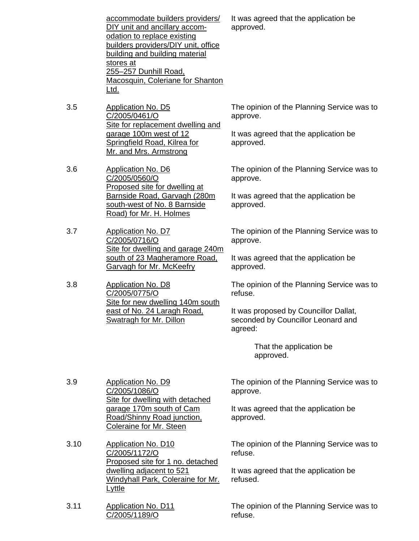| accommodate builders providers/     |
|-------------------------------------|
| DIY unit and ancillary accom-       |
| odation to replace existing         |
| builders providers/DIY unit, office |
| building and building material      |
| stores at                           |
| 255-257 Dunhill Road,               |
| Macosquin, Coleriane for Shanton    |
| l td.                               |

- 3.5 Application No. D5 C/2005/0461/O Site for replacement dwelling and garage 100m west of 12 Springfield Road, Kilrea for Mr. and Mrs. Armstrong
- 3.6 Application No. D6 C/2005/0560/O Proposed site for dwelling at Barnside Road, Garvagh (280m south-west of No. 8 Barnside Road) for Mr. H. Holmes

3.7 Application No. D7 C/2005/0716/O Site for dwelling and garage 240m south of 23 Magheramore Road, Garvagh for Mr. McKeefry

3.8 Application No. D8 C/2005/0775/O Site for new dwelling 140m south east of No. 24 Laragh Road, Swatragh for Mr. Dillon

It was agreed that the application be approved.

The opinion of the Planning Service was to approve.

It was agreed that the application be approved.

The opinion of the Planning Service was to approve.

It was agreed that the application be approved.

The opinion of the Planning Service was to approve.

It was agreed that the application be approved.

The opinion of the Planning Service was to refuse.

It was proposed by Councillor Dallat, seconded by Councillor Leonard and agreed:

> That the application be approved.

3.9 Application No. D9 C/2005/1086/O Site for dwelling with detached garage 170m south of Cam Road/Shinny Road junction, Coleraine for Mr. Steen

3.10 Application No. D10 C/2005/1172/O Proposed site for 1 no. detached dwelling adjacent to 521 Windyhall Park, Coleraine for Mr. Lyttle

3.11 Application No. D11 C/2005/1189/O

The opinion of the Planning Service was to approve.

It was agreed that the application be approved.

The opinion of the Planning Service was to refuse.

It was agreed that the application be refused.

The opinion of the Planning Service was to refuse.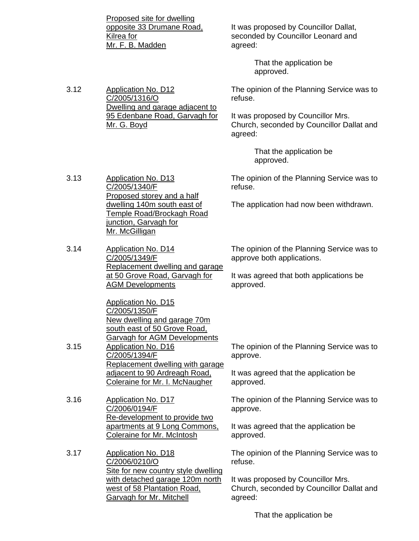Proposed site for dwelling opposite 33 Drumane Road, Kilrea for Mr. F. B. Madden

Dwelling and garage adjacent to 95 Edenbane Road, Garvagh for

3.12 Application No. D12

C/2005/1316/O

Mr. G. Boyd

3.13 Application No. D13

C/2005/1340/F

It was proposed by Councillor Dallat, seconded by Councillor Leonard and agreed:

> That the application be approved.

The opinion of the Planning Service was to refuse.

It was proposed by Councillor Mrs. Church, seconded by Councillor Dallat and agreed:

> That the application be approved.

The opinion of the Planning Service was to refuse.

The application had now been withdrawn.

dwelling 140m south east of Temple Road/Brockagh Road junction, Garvagh for Mr. McGilligan 3.14 Application No. D14

Proposed storey and a half

C/2005/1349/F Replacement dwelling and garage at 50 Grove Road, Garvagh for AGM Developments

Application No. D15 C/2005/1350/F New dwelling and garage 70m south east of 50 Grove Road, Garvagh for AGM Developments 3.15 Application No. D16 C/2005/1394/F Replacement dwelling with garage adjacent to 90 Ardreagh Road, Coleraine for Mr. I. McNaugher

3.16 Application No. D17 C/2006/0194/F Re-development to provide two apartments at 9 Long Commons, Coleraine for Mr. McIntosh

3.17 Application No. D18 C/2006/0210/O Site for new country style dwelling with detached garage 120m north west of 58 Plantation Road, Garvagh for Mr. Mitchell

The opinion of the Planning Service was to approve both applications.

It was agreed that both applications be approved.

The opinion of the Planning Service was to approve.

It was agreed that the application be approved.

The opinion of the Planning Service was to approve.

It was agreed that the application be approved.

The opinion of the Planning Service was to refuse.

It was proposed by Councillor Mrs. Church, seconded by Councillor Dallat and agreed:

That the application be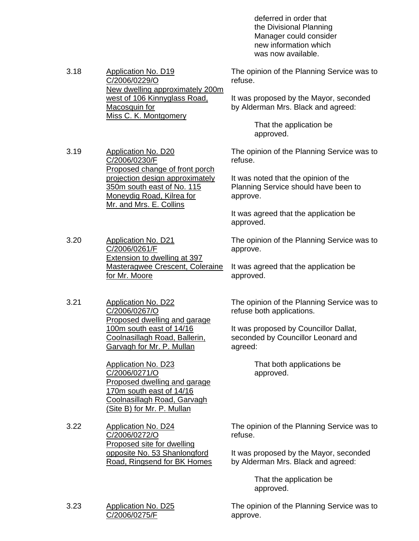deferred in order that the Divisional Planning Manager could consider new information which was now available.

3.18 Application No. D19 C/2006/0229/O New dwelling approximately 200m west of 106 Kinnyglass Road, Macosquin for Miss C. K. Montgomery The opinion of the Planning Service was to refuse. It was proposed by the Mayor, seconded by Alderman Mrs. Black and agreed:

 That the application be approved.

The opinion of the Planning Service was to refuse.

It was noted that the opinion of the Planning Service should have been to approve.

It was agreed that the application be approved.

The opinion of the Planning Service was to approve.

It was agreed that the application be approved.

The opinion of the Planning Service was to refuse both applications.

It was proposed by Councillor Dallat, seconded by Councillor Leonard and agreed:

> That both applications be approved.

The opinion of the Planning Service was to refuse.

It was proposed by the Mayor, seconded by Alderman Mrs. Black and agreed:

> That the application be approved.

The opinion of the Planning Service was to approve.

3.19 Application No. D20 C/2006/0230/F Proposed change of front porch projection design approximately 350m south east of No. 115 Moneydig Road, Kilrea for Mr. and Mrs. E. Collins

3.20 Application No. D21 C/2006/0261/F Extension to dwelling at 397 Masteragwee Crescent, Coleraine for Mr. Moore

3.21 Application No. D22 C/2006/0267/O Proposed dwelling and garage 100m south east of 14/16 Coolnasillagh Road, Ballerin, Garvagh for Mr. P. Mullan

> Application No. D23 C/2006/0271/O Proposed dwelling and garage 170m south east of 14/16 Coolnasillagh Road, Garvagh (Site B) for Mr. P. Mullan

3.22 Application No. D24 C/2006/0272/O Proposed site for dwelling opposite No. 53 Shanlongford Road, Ringsend for BK Homes

3.23 Application No. D25 C/2006/0275/F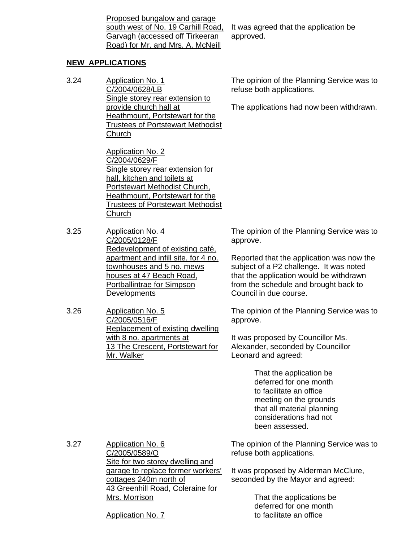Proposed bungalow and garage south west of No. 19 Carhill Road, Garvagh (accessed off Tirkeeran Road) for Mr. and Mrs. A. McNeill

## **NEW APPLICATIONS**

3.24 Application No. 1 C/2004/0628/LB Single storey rear extension to provide church hall at Heathmount, Portstewart for the Trustees of Portstewart Methodist **Church** 

> Application No. 2 C/2004/0629/F Single storey rear extension for hall, kitchen and toilets at Portstewart Methodist Church, Heathmount, Portstewart for the Trustees of Portstewart Methodist **Church**

- 3.25 Application No. 4 C/2005/0128/F Redevelopment of existing café, apartment and infill site, for 4 no. townhouses and 5 no. mews houses at 47 Beach Road, Portballintrae for Simpson **Developments**
- 3.26 Application No. 5 C/2005/0516/F Replacement of existing dwelling with 8 no. apartments at 13 The Crescent, Portstewart for Mr. Walker

It was agreed that the application be approved.

The opinion of the Planning Service was to refuse both applications.

The applications had now been withdrawn.

The opinion of the Planning Service was to approve.

Reported that the application was now the subject of a P2 challenge. It was noted that the application would be withdrawn from the schedule and brought back to Council in due course.

The opinion of the Planning Service was to approve.

It was proposed by Councillor Ms. Alexander, seconded by Councillor Leonard and agreed:

> That the application be deferred for one month to facilitate an office meeting on the grounds that all material planning considerations had not been assessed.

3.27 Application No. 6 C/2005/0589/O Site for two storey dwelling and garage to replace former workers' cottages 240m north of 43 Greenhill Road, Coleraine for Mrs. Morrison

The opinion of the Planning Service was to refuse both applications.

It was proposed by Alderman McClure, seconded by the Mayor and agreed:

> That the applications be deferred for one month to facilitate an office

Application No. 7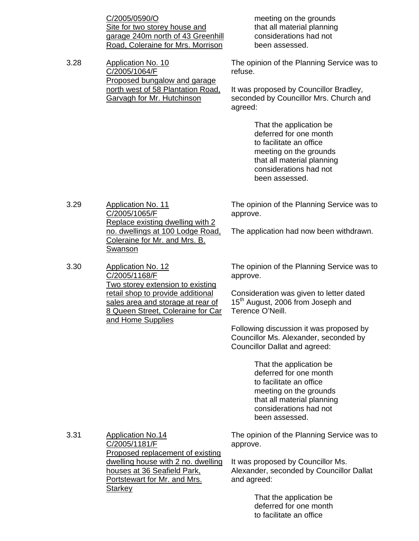C/2005/0590/O Site for two storey house and garage 240m north of 43 Greenhill Road, Coleraine for Mrs. Morrison

3.28 Application No. 10 C/2005/1064/F Proposed bungalow and garage north west of 58 Plantation Road, Garvagh for Mr. Hutchinson

 meeting on the grounds that all material planning considerations had not been assessed.

The opinion of the Planning Service was to refuse.

It was proposed by Councillor Bradley, seconded by Councillor Mrs. Church and agreed:

> That the application be deferred for one month to facilitate an office meeting on the grounds that all material planning considerations had not been assessed.

3.29 Application No. 11 C/2005/1065/F Replace existing dwelling with 2 no. dwellings at 100 Lodge Road, Coleraine for Mr. and Mrs. B. Swanson

3.30 Application No. 12 C/2005/1168/F Two storey extension to existing retail shop to provide additional sales area and storage at rear of 8 Queen Street, Coleraine for Car and Home Supplies

The opinion of the Planning Service was to approve.

The application had now been withdrawn.

The opinion of the Planning Service was to approve.

Consideration was given to letter dated 15<sup>th</sup> August, 2006 from Joseph and Terence O'Neill.

Following discussion it was proposed by Councillor Ms. Alexander, seconded by Councillor Dallat and agreed:

> That the application be deferred for one month to facilitate an office meeting on the grounds that all material planning considerations had not been assessed.

3.31 Application No.14 C/2005/1181/F Proposed replacement of existing dwelling house with 2 no. dwelling houses at 36 Seafield Park, Portstewart for Mr. and Mrs. **Starkey** 

The opinion of the Planning Service was to approve.

It was proposed by Councillor Ms. Alexander, seconded by Councillor Dallat and agreed:

> That the application be deferred for one month to facilitate an office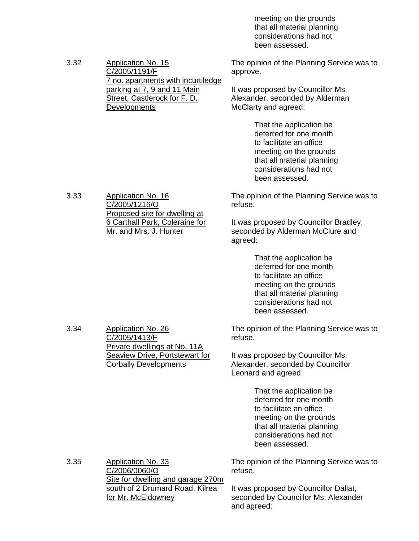meeting on the grounds that all material planning considerations had not been assessed.

| 3.32 | <b>Application No. 15</b><br>C/2005/1191/F                                                                               | The opinion of the Planning Service was to<br>approve.                                                                                                                           |
|------|--------------------------------------------------------------------------------------------------------------------------|----------------------------------------------------------------------------------------------------------------------------------------------------------------------------------|
|      | 7 no. apartments with incurtiledge<br>parking at 7, 9 and 11 Main<br>Street, Castlerock for F. D.<br><b>Developments</b> | It was proposed by Councillor Ms.<br>Alexander, seconded by Alderman<br>McClarty and agreed:                                                                                     |
|      |                                                                                                                          | That the application be<br>deferred for one month<br>to facilitate an office<br>meeting on the grounds<br>that all material planning<br>considerations had not<br>been assessed. |
| 3.33 | <b>Application No. 16</b><br>C/2005/1216/O                                                                               | The opinion of the Planning Service was to<br>refuse.                                                                                                                            |
|      | Proposed site for dwelling at<br>6 Carthall Park, Coleraine for<br>Mr. and Mrs. J. Hunter                                | It was proposed by Councillor Bradley,<br>seconded by Alderman McClure and<br>agreed:                                                                                            |
|      |                                                                                                                          | That the application be<br>deferred for one month<br>to facilitate an office<br>meeting on the grounds<br>that all material planning<br>considerations had not<br>been assessed. |
| 3.34 | <b>Application No. 26</b><br>C/2005/1413/F<br>Private dwellings at No. 11A                                               | The opinion of the Planning Service was to<br>refuse.                                                                                                                            |
|      | <b>Seaview Drive, Portstewart for</b><br><b>Corbally Developments</b>                                                    | It was proposed by Councillor Ms.<br>Alexander, seconded by Councillor<br>Leonard and agreed:                                                                                    |
|      |                                                                                                                          | That the application be<br>deferred for one month<br>to facilitate an office<br>meeting on the grounds<br>that all material planning<br>considerations had not<br>been assessed. |
| 3.35 | Application No. 33<br>C/2006/0060/O<br>Site for dwelling and garage 270m                                                 | The opinion of the Planning Service was to<br>refuse.                                                                                                                            |
|      | south of 2 Drumard Road, Kilrea<br>for Mr. McEldowney                                                                    | It was proposed by Councillor Dallat,<br>seconded by Councillor Ms. Alexander<br>and agreed:                                                                                     |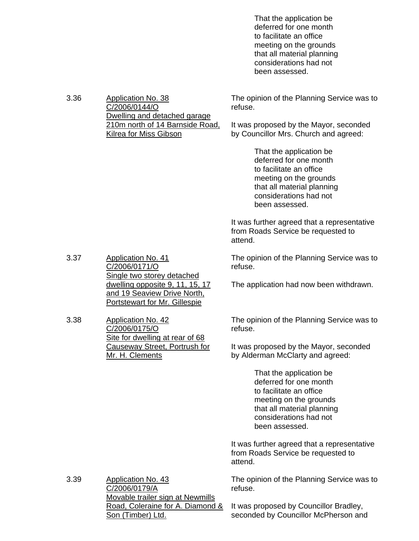That the application be deferred for one month to facilitate an office meeting on the grounds that all material planning considerations had not been assessed.

| 3.36 | Application No. 38              | The opinion of the Planning Service was to |
|------|---------------------------------|--------------------------------------------|
|      | C/2006/0144/O                   | refuse.                                    |
|      | Dwelling and detached garage    |                                            |
|      | 210m north of 14 Barnside Road, | It was proposed by the Mayor, seconded     |
|      | Kilrea for Miss Gibson          | by Councillor Mrs. Church and agreed:      |
|      |                                 |                                            |

 That the application be deferred for one month to facilitate an office meeting on the grounds that all material planning considerations had not been assessed.

It was further agreed that a representative from Roads Service be requested to attend.

The opinion of the Planning Service was to refuse.

The application had now been withdrawn.

The opinion of the Planning Service was to refuse.

It was proposed by the Mayor, seconded by Alderman McClarty and agreed:

> That the application be deferred for one month to facilitate an office meeting on the grounds that all material planning considerations had not been assessed.

It was further agreed that a representative from Roads Service be requested to attend.

The opinion of the Planning Service was to refuse.

3.39 Application No. 43 C/2006/0179/A Movable trailer sign at Newmills Road, Coleraine for A. Diamond & Son (Timber) Ltd.

It was proposed by Councillor Bradley, seconded by Councillor McPherson and

- 3.37 Application No. 41 C/2006/0171/O Single two storey detached dwelling opposite 9, 11, 15, 17 and 19 Seaview Drive North, Portstewart for Mr. Gillespie
- 3.38 Application No. 42 C/2006/0175/O Site for dwelling at rear of 68 Causeway Street, Portrush for Mr. H. Clements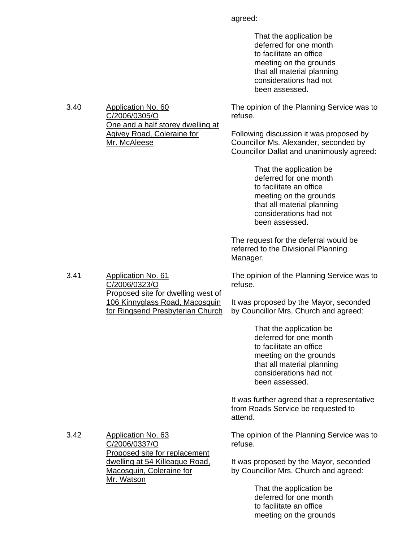agreed:

 That the application be deferred for one month to facilitate an office meeting on the grounds that all material planning considerations had not been assessed.

The opinion of the Planning Service was to refuse.

Following discussion it was proposed by Councillor Ms. Alexander, seconded by Councillor Dallat and unanimously agreed:

> That the application be deferred for one month to facilitate an office meeting on the grounds that all material planning considerations had not been assessed.

The request for the deferral would be referred to the Divisional Planning Manager.

The opinion of the Planning Service was to refuse.

It was proposed by the Mayor, seconded by Councillor Mrs. Church and agreed:

> That the application be deferred for one month to facilitate an office meeting on the grounds that all material planning considerations had not been assessed.

It was further agreed that a representative from Roads Service be requested to attend.

The opinion of the Planning Service was to refuse.

It was proposed by the Mayor, seconded by Councillor Mrs. Church and agreed:

> That the application be deferred for one month to facilitate an office meeting on the grounds

3.40 Application No. 60 C/2006/0305/O One and a half storey dwelling at Agivey Road, Coleraine for Mr. McAleese

3.41 Application No. 61 C/2006/0323/O Proposed site for dwelling west of 106 Kinnyglass Road, Macosquin for Ringsend Presbyterian Church

3.42 Application No. 63 C/2006/0337/O Proposed site for replacement dwelling at 54 Killeague Road, Macosquin, Coleraine for Mr. Watson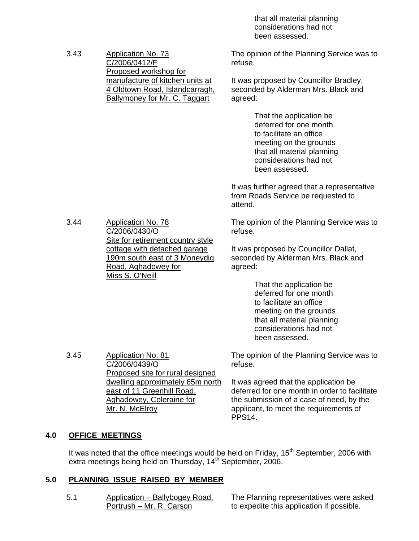that all material planning considerations had not been assessed.

| 3.43 | <b>Application No. 73</b><br>C/2006/0412/F<br>Proposed workshop for<br>manufacture of kitchen units at<br>4 Oldtown Road, Islandcarragh,<br><b>Ballymoney for Mr. C. Taggart</b> | The opinion of the Planning Service was to<br>refuse.<br>It was proposed by Councillor Bradley,<br>seconded by Alderman Mrs. Black and<br>agreed:                                |
|------|----------------------------------------------------------------------------------------------------------------------------------------------------------------------------------|----------------------------------------------------------------------------------------------------------------------------------------------------------------------------------|
|      |                                                                                                                                                                                  | That the application be<br>deferred for one month<br>to facilitate an office<br>meeting on the grounds<br>that all material planning<br>considerations had not<br>been assessed. |
|      |                                                                                                                                                                                  | It was further agreed that a representative<br>from Roads Service be requested to<br>attend.                                                                                     |
| 3.44 | <b>Application No. 78</b><br>C/2006/0430/O                                                                                                                                       | The opinion of the Planning Service was to<br>refuse.                                                                                                                            |
|      | Site for retirement country style<br>cottage with detached garage<br>190m south east of 3 Moneydig<br>Road, Aghadowey for<br>Miss S. O'Neill                                     | It was proposed by Councillor Dallat,<br>seconded by Alderman Mrs. Black and<br>agreed:                                                                                          |
|      |                                                                                                                                                                                  | That the application be<br>deferred for one month<br>to facilitate an office<br>meeting on the grounds<br>that all material planning<br>considerations had not<br>been assessed. |
| 3.45 | <b>Application No. 81</b><br>C/2006/0439/O<br>Proposed site for rural designed                                                                                                   | The opinion of the Planning Service was to<br>refuse.<br>It was agreed that the application be                                                                                   |
|      | dwelling approximately 65m north<br>east of 11 Greenhill Road,                                                                                                                   | deferred for one month in order to facilitate                                                                                                                                    |

Aghadowey, Coleraine for Mr. N. McElroy

the submission of a case of need, by the applicant, to meet the requirements of PPS14.

# **4.0 OFFICE MEETINGS**

It was noted that the office meetings would be held on Friday, 15<sup>th</sup> September, 2006 with extra meetings being held on Thursday, 14<sup>th</sup> September, 2006.

# **5.0 PLANNING ISSUE RAISED BY MEMBER**

5.1 Application – Ballybogey Road, Portrush – Mr. R. Carson

The Planning representatives were asked to expedite this application if possible.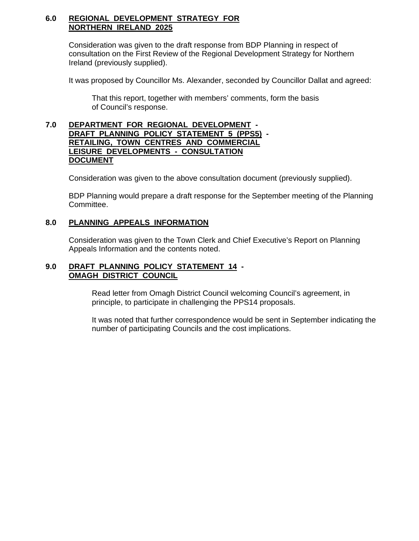#### **6.0 REGIONAL DEVELOPMENT STRATEGY FOR NORTHERN IRELAND 2025**

Consideration was given to the draft response from BDP Planning in respect of consultation on the First Review of the Regional Development Strategy for Northern Ireland (previously supplied).

It was proposed by Councillor Ms. Alexander, seconded by Councillor Dallat and agreed:

 That this report, together with members' comments, form the basis of Council's response.

#### **7.0 DEPARTMENT FOR REGIONAL DEVELOPMENT - DRAFT PLANNING POLICY STATEMENT 5 (PPS5) - RETAILING, TOWN CENTRES AND COMMERCIAL LEISURE DEVELOPMENTS - CONSULTATION DOCUMENT**

Consideration was given to the above consultation document (previously supplied).

 BDP Planning would prepare a draft response for the September meeting of the Planning Committee.

## **8.0 PLANNING APPEALS INFORMATION**

 Consideration was given to the Town Clerk and Chief Executive's Report on Planning Appeals Information and the contents noted.

#### **9.0 DRAFT PLANNING POLICY STATEMENT 14 - OMAGH DISTRICT COUNCIL**

 Read letter from Omagh District Council welcoming Council's agreement, in principle, to participate in challenging the PPS14 proposals.

 It was noted that further correspondence would be sent in September indicating the number of participating Councils and the cost implications.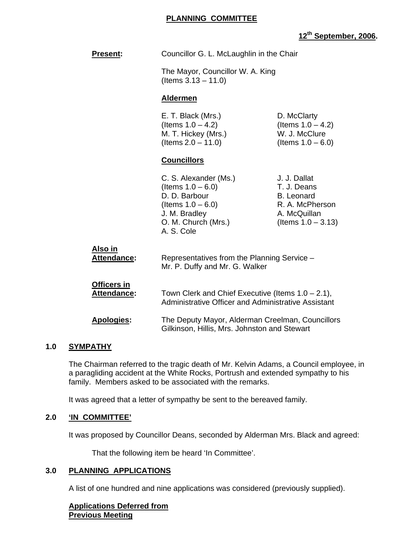# **12th September, 2006.**

| <b>Present:</b>               | Councillor G. L. McLaughlin in the Chair                                                                                                     |                                                                                                              |
|-------------------------------|----------------------------------------------------------------------------------------------------------------------------------------------|--------------------------------------------------------------------------------------------------------------|
|                               | The Mayor, Councillor W. A. King<br>(Items $3.13 - 11.0$ )                                                                                   |                                                                                                              |
|                               | <b>Aldermen</b>                                                                                                                              |                                                                                                              |
|                               | E. T. Black (Mrs.)<br>(Items $1.0 - 4.2$ )<br>M. T. Hickey (Mrs.)<br>(Items $2.0 - 11.0$ )                                                   | D. McClarty<br>(Items $1.0 - 4.2$ )<br>W. J. McClure<br>(Items $1.0 - 6.0$ )                                 |
|                               | <b>Councillors</b>                                                                                                                           |                                                                                                              |
|                               | C. S. Alexander (Ms.)<br>(Items $1.0 - 6.0$ )<br>D. D. Barbour<br>(Items $1.0 - 6.0$ )<br>J. M. Bradley<br>O. M. Church (Mrs.)<br>A. S. Cole | J. J. Dallat<br>T. J. Deans<br><b>B.</b> Leonard<br>R. A. McPherson<br>A. McQuillan<br>(Items $1.0 - 3.13$ ) |
| Also in<br><b>Attendance:</b> | Representatives from the Planning Service -<br>Mr. P. Duffy and Mr. G. Walker                                                                |                                                                                                              |
| Officers in<br>Attendance:    | Town Clerk and Chief Executive (Items $1.0 - 2.1$ ),<br>Administrative Officer and Administrative Assistant                                  |                                                                                                              |
| <b>Apologies:</b>             | The Deputy Mayor, Alderman Creelman, Councillors<br>Gilkinson, Hillis, Mrs. Johnston and Stewart                                             |                                                                                                              |

#### **1.0 SYMPATHY**

 The Chairman referred to the tragic death of Mr. Kelvin Adams, a Council employee, in a paragliding accident at the White Rocks, Portrush and extended sympathy to his family. Members asked to be associated with the remarks.

It was agreed that a letter of sympathy be sent to the bereaved family.

#### **2.0 'IN COMMITTEE'**

It was proposed by Councillor Deans, seconded by Alderman Mrs. Black and agreed:

That the following item be heard 'In Committee'.

# **3.0 PLANNING APPLICATIONS**

A list of one hundred and nine applications was considered (previously supplied).

**Applications Deferred from Previous Meeting**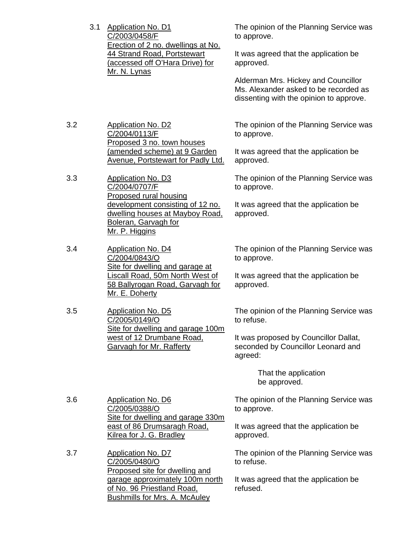| 3.1 Application No. D1             |
|------------------------------------|
| C/2003/0458/F                      |
| Erection of 2 no. dwellings at No. |
| 44 Strand Road, Portstewart        |
| (accessed off O'Hara Drive) for    |
| Mr. N. Lynas                       |

3.2 Application No. D2 C/2004/0113/F Proposed 3 no. town houses (amended scheme) at 9 Garden Avenue, Portstewart for Padly Ltd.

3.3 Application No. D3 C/2004/0707/F Proposed rural housing development consisting of 12 no. dwelling houses at Mayboy Road, Boleran, Garvagh for Mr. P. Higgins

3.4 Application No. D4 C/2004/0843/O Site for dwelling and garage at Liscall Road, 50m North West of 58 Ballyrogan Road, Garvagh for Mr. E. Doherty

3.5 Application No. D5 C/2005/0149/O Site for dwelling and garage 100m west of 12 Drumbane Road, Garvagh for Mr. Rafferty

The opinion of the Planning Service was to approve.

It was agreed that the application be approved.

Alderman Mrs. Hickey and Councillor Ms. Alexander asked to be recorded as dissenting with the opinion to approve.

The opinion of the Planning Service was to approve.

It was agreed that the application be approved.

The opinion of the Planning Service was to approve.

It was agreed that the application be approved.

The opinion of the Planning Service was to approve.

It was agreed that the application be approved.

The opinion of the Planning Service was to refuse.

It was proposed by Councillor Dallat, seconded by Councillor Leonard and agreed:

> That the application be approved.

The opinion of the Planning Service was to approve.

It was agreed that the application be approved.

The opinion of the Planning Service was to refuse.

It was agreed that the application be refused.

3.6 Application No. D6 C/2005/0388/O Site for dwelling and garage 330m east of 86 Drumsaragh Road, Kilrea for J. G. Bradley

3.7 Application No. D7 C/2005/0480/O Proposed site for dwelling and garage approximately 100m north of No. 96 Priestland Road, **Bushmills for Mrs. A. McAuley**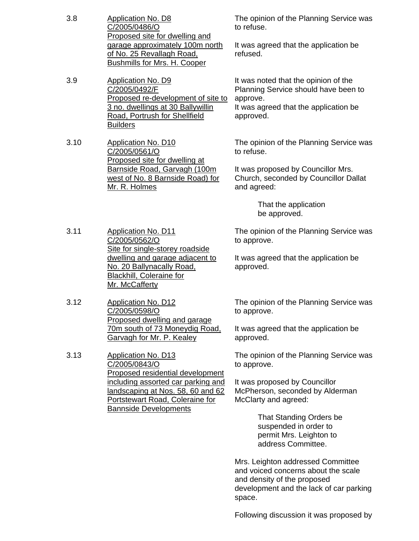| 3.8  | Application No. D8<br>C/2005/0486/O<br><b>Proposed site for dwelling and</b><br>garage approximately 100m north<br><u>of No. 25 Revallagh Road.</u><br><b>Bushmills for Mrs. H. Cooper</b> |  |
|------|--------------------------------------------------------------------------------------------------------------------------------------------------------------------------------------------|--|
| 3.9  | Application No. D9<br>C/2005/0492/F<br>Proposed re-development of site to<br>3 no. dwellings at 30 Ballywillin<br>Road, Portrush for Shellfield<br><b>Builders</b>                         |  |
| 3.10 | Application No. D10<br>C/2005/0561/O<br>Proposed site for dwelling at<br>Barnside Road, Garvagh (100m<br>west of No. 8 Barnside Road) for<br>Mr. R. Holmes                                 |  |

The opinion of the Planning Service was to refuse.

It was agreed that the application be refused.

It was noted that the opinion of the Planning Service should have been to approve.

It was agreed that the application be approved.

The opinion of the Planning Service was to refuse.

It was proposed by Councillor Mrs. Church, seconded by Councillor Dallat and agreed:

> That the application be approved.

The opinion of the Planning Service was to approve.

It was agreed that the application be approved.

The opinion of the Planning Service was to approve.

It was agreed that the application be approved.

The opinion of the Planning Service was to approve.

It was proposed by Councillor McPherson, seconded by Alderman McClarty and agreed:

> That Standing Orders be suspended in order to permit Mrs. Leighton to address Committee.

Mrs. Leighton addressed Committee and voiced concerns about the scale and density of the proposed development and the lack of car parking space.

Following discussion it was proposed by

3.11 Application No. D11 C/2005/0562/O Site for single-storey roadside dwelling and garage adjacent to No. 20 Ballynacally Road, Blackhill, Coleraine for Mr. McCafferty

3.12 Application No. D12 C/2005/0598/O Proposed dwelling and garage 70m south of 73 Moneydig Road, Garvagh for Mr. P. Kealey

3.13 Application No. D13 C/2005/0843/O Proposed residential development including assorted car parking and landscaping at Nos. 58, 60 and 62 Portstewart Road, Coleraine for Bannside Developments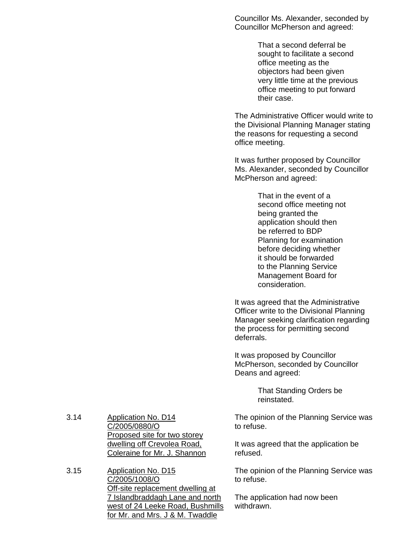Councillor Ms. Alexander, seconded by Councillor McPherson and agreed:

> That a second deferral be sought to facilitate a second office meeting as the objectors had been given very little time at the previous office meeting to put forward their case.

The Administrative Officer would write to the Divisional Planning Manager stating the reasons for requesting a second office meeting.

It was further proposed by Councillor Ms. Alexander, seconded by Councillor McPherson and agreed:

> That in the event of a second office meeting not being granted the application should then be referred to BDP Planning for examination before deciding whether it should be forwarded to the Planning Service Management Board for consideration.

It was agreed that the Administrative Officer write to the Divisional Planning Manager seeking clarification regarding the process for permitting second deferrals.

It was proposed by Councillor McPherson, seconded by Councillor Deans and agreed:

> That Standing Orders be reinstated.

The opinion of the Planning Service was to refuse.

It was agreed that the application be refused.

The opinion of the Planning Service was to refuse.

The application had now been withdrawn.

3.14 Application No. D14 C/2005/0880/O Proposed site for two storey dwelling off Crevolea Road, Coleraine for Mr. J. Shannon

3.15 Application No. D15 C/2005/1008/O Off-site replacement dwelling at 7 Islandbraddagh Lane and north west of 24 Leeke Road, Bushmills for Mr. and Mrs. J & M. Twaddle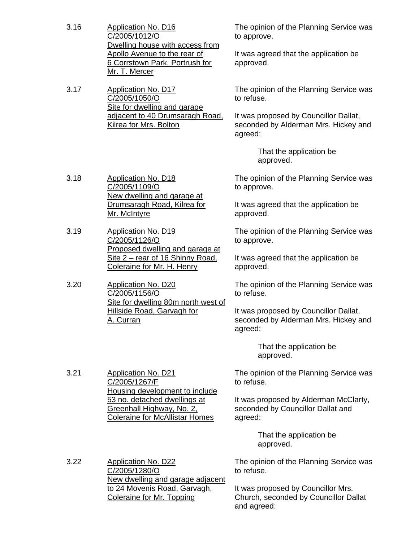3.16 Application No. D16 C/2005/1012/O Dwelling house with access from Apollo Avenue to the rear of 6 Corrstown Park, Portrush for Mr. T. Mercer

3.17 Application No. D17 C/2005/1050/O Site for dwelling and garage adjacent to 40 Drumsaragh Road, Kilrea for Mrs. Bolton

The opinion of the Planning Service was to approve.

It was agreed that the application be approved.

The opinion of the Planning Service was to refuse.

It was proposed by Councillor Dallat, seconded by Alderman Mrs. Hickey and agreed:

> That the application be approved.

The opinion of the Planning Service was to approve.

It was agreed that the application be approved.

The opinion of the Planning Service was to approve.

It was agreed that the application be approved.

The opinion of the Planning Service was to refuse.

It was proposed by Councillor Dallat, seconded by Alderman Mrs. Hickey and agreed:

> That the application be approved.

The opinion of the Planning Service was to refuse.

It was proposed by Alderman McClarty, seconded by Councillor Dallat and agreed:

> That the application be approved.

The opinion of the Planning Service was to refuse.

It was proposed by Councillor Mrs. Church, seconded by Councillor Dallat and agreed:

3.18 Application No. D18 C/2005/1109/O New dwelling and garage at Drumsaragh Road, Kilrea for Mr. McIntyre

3.19 Application No. D19 C/2005/1126/O Proposed dwelling and garage at Site 2 – rear of 16 Shinny Road, Coleraine for Mr. H. Henry

3.20 Application No. D20 C/2005/1156/O Site for dwelling 80m north west of Hillside Road, Garvagh for A. Curran

3.21 Application No. D21 C/2005/1267/F Housing development to include 53 no. detached dwellings at Greenhall Highway, No. 2, Coleraine for McAllistar Homes

3.22 Application No. D22 C/2005/1280/O New dwelling and garage adjacent to 24 Movenis Road, Garvagh, Coleraine for Mr. Topping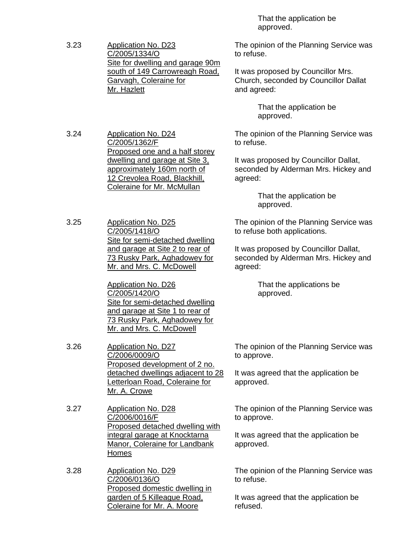3.23 Application No. D23 C/2005/1334/O Site for dwelling and garage 90m south of 149 Carrowreagh Road, Garvagh, Coleraine for Mr. Hazlett

3.24 Application No. D24 C/2005/1362/F Proposed one and a half storey dwelling and garage at Site 3, approximately 160m north of 12 Crevolea Road, Blackhill, Coleraine for Mr. McMullan

3.25 Application No. D25 C/2005/1418/O Site for semi-detached dwelling and garage at Site 2 to rear of 73 Rusky Park, Aghadowey for Mr. and Mrs. C. McDowell

> Application No. D26 C/2005/1420/O Site for semi-detached dwelling and garage at Site 1 to rear of 73 Rusky Park, Aghadowey for Mr. and Mrs. C. McDowell

3.26 Application No. D27 C/2006/0009/O Proposed development of 2 no. detached dwellings adjacent to 28 Letterloan Road, Coleraine for Mr. A. Crowe

3.27 Application No. D28 C/2006/0016/F Proposed detached dwelling with integral garage at Knocktarna Manor, Coleraine for Landbank **Homes** 

3.28 Application No. D29 C/2006/0136/O Proposed domestic dwelling in garden of 5 Killeague Road, Coleraine for Mr. A. Moore

 That the application be approved.

The opinion of the Planning Service was to refuse.

It was proposed by Councillor Mrs. Church, seconded by Councillor Dallat and agreed:

> That the application be approved.

The opinion of the Planning Service was to refuse.

It was proposed by Councillor Dallat, seconded by Alderman Mrs. Hickey and agreed:

> That the application be approved.

The opinion of the Planning Service was to refuse both applications.

It was proposed by Councillor Dallat, seconded by Alderman Mrs. Hickey and agreed:

> That the applications be approved.

The opinion of the Planning Service was to approve.

It was agreed that the application be approved.

The opinion of the Planning Service was to approve.

It was agreed that the application be approved.

The opinion of the Planning Service was to refuse.

It was agreed that the application be refused.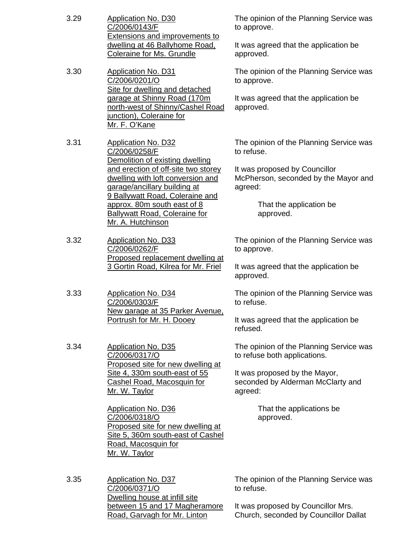| 3.29 | <b>Application No. D30</b><br>C/2006/0143/F<br><b>Extensions and improvements to</b><br>dwelling at 46 Ballyhome Road,<br><b>Coleraine for Ms. Grundle</b>                                                                                                                                                                               | <b>The</b><br>to ap<br>It wa<br>appr         |
|------|------------------------------------------------------------------------------------------------------------------------------------------------------------------------------------------------------------------------------------------------------------------------------------------------------------------------------------------|----------------------------------------------|
| 3.30 | <b>Application No. D31</b><br>C/2006/0201/O<br>Site for dwelling and detached<br>garage at Shinny Road (170m<br>north-west of Shinny/Cashel Road<br>junction), Coleraine for<br>Mr. F. O'Kane                                                                                                                                            | <b>The</b><br>to ap<br>It wa<br>appr         |
| 3.31 | <b>Application No. D32</b><br>C/2006/0258/F<br>Demolition of existing dwelling<br>and erection of off-site two storey<br>dwelling with loft conversion and<br>garage/ancillary building at<br>9 Ballywatt Road, Coleraine and<br><u>approx. 80m south east of 8</u><br><b>Ballywatt Road, Coleraine for</b><br>Mr. A. Hutchinson         | The<br>to re<br>It wa<br><b>McP</b><br>agre  |
| 3.32 | <b>Application No. D33</b><br>C/2006/0262/F<br>Proposed replacement dwelling at<br>3 Gortin Road, Kilrea for Mr. Friel                                                                                                                                                                                                                   | The i<br>to ap<br>It wa<br>appr              |
| 3.33 | Application No. D34<br>C/2006/0303/F<br><u>New garage at 35 Parker Avenue.</u><br>Portrush for Mr. H. Dooey                                                                                                                                                                                                                              | The<br>to re<br>It wa<br>refus               |
| 3.34 | <b>Application No. D35</b><br>C/2006/0317/O<br>Proposed site for new dwelling at<br>Site 4, 330m south-east of 55<br><b>Cashel Road, Macosquin for</b><br>Mr. W. Taylor<br><b>Application No. D36</b><br>C/2006/0318/O<br>Proposed site for new dwelling at<br>Site 5, 360m south-east of Cashel<br>Road, Macosquin for<br>Mr. W. Taylor | <b>The</b><br>to re<br>It wa<br>seco<br>agre |
| 3.35 | <b>Application No. D37</b><br>C/2006/0371/O<br>Dwelling house at infill site<br>between 15 and 17 Magheramore<br>Road, Garvagh for Mr. Linton                                                                                                                                                                                            | The<br>to re<br>It wa<br>Chur                |

opinion of the Planning Service was prove.

is agreed that the application be oved.

opinion of the Planning Service was pprove.

is agreed that the application be oved.

opinion of the Planning Service was fuse.

Is proposed by Councillor herson, seconded by the Mayor and ed:

> That the application be approved.

opinion of the Planning Service was prove.

is agreed that the application be oved.

opinion of the Planning Service was fuse.

is agreed that the application be sed.

opinion of the Planning Service was fuse both applications.

It s proposed by the Mayor, nded by Alderman McClarty and ed:

> That the applications be approved.

opinion of the Planning Service was fuse.

is proposed by Councillor Mrs. Church, seconded by Councillor Dallat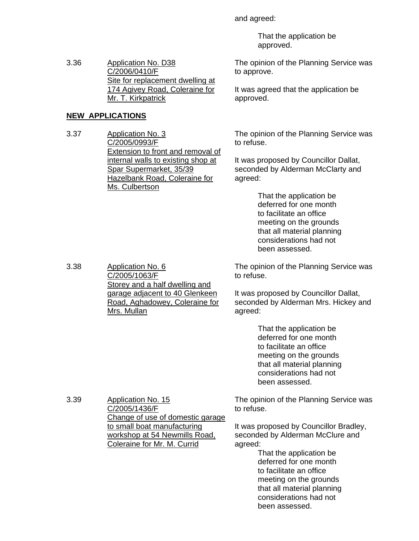and agreed:

 That the application be approved.

The opinion of the Planning Service was to approve.

It was agreed that the application be approved.

The opinion of the Planning Service was

to refuse.

It was proposed by Councillor Dallat, seconded by Alderman McClarty and agreed:

> That the application be deferred for one month to facilitate an office meeting on the grounds that all material planning considerations had not been assessed.

The opinion of the Planning Service was to refuse.

It was proposed by Councillor Dallat, seconded by Alderman Mrs. Hickey and agreed:

> That the application be deferred for one month to facilitate an office meeting on the grounds that all material planning considerations had not been assessed.

The opinion of the Planning Service was to refuse.

It was proposed by Councillor Bradley, seconded by Alderman McClure and agreed:

 That the application be deferred for one month to facilitate an office meeting on the grounds that all material planning considerations had not been assessed.

3.36 Application No. D38 C/2006/0410/F Site for replacement dwelling at 174 Agivey Road, Coleraine for Mr. T. Kirkpatrick

# **NEW APPLICATIONS**

3.37 Application No. 3 C/2005/0993/F Extension to front and removal of internal walls to existing shop at Spar Supermarket, 35/39 Hazelbank Road, Coleraine for Ms. Culbertson

3.38 Application No. 6 C/2005/1063/F Storey and a half dwelling and garage adjacent to 40 Glenkeen Road, Aghadowey, Coleraine for Mrs. Mullan

3.39 Application No. 15 C/2005/1436/F Change of use of domestic garage to small boat manufacturing workshop at 54 Newmills Road, Coleraine for Mr. M. Currid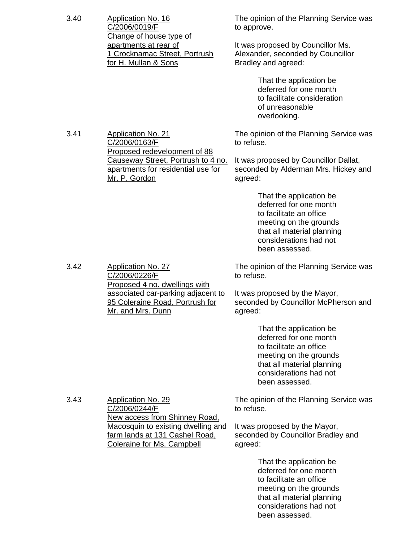| 3.40 | <b>Application No. 16</b><br>C/2006/0019/F                                                                                                               | The opinion of the Planning Service was<br>to approve.                                                                                                                           |  |
|------|----------------------------------------------------------------------------------------------------------------------------------------------------------|----------------------------------------------------------------------------------------------------------------------------------------------------------------------------------|--|
|      | Change of house type of<br>apartments at rear of<br>1 Crocknamac Street, Portrush<br>for H. Mullan & Sons                                                | It was proposed by Councillor Ms.<br>Alexander, seconded by Councillor<br>Bradley and agreed:                                                                                    |  |
|      |                                                                                                                                                          | That the application be<br>deferred for one month<br>to facilitate consideration<br>of unreasonable<br>overlooking.                                                              |  |
| 3.41 | <b>Application No. 21</b><br>C/2006/0163/F<br>Proposed redevelopment of 88                                                                               | The opinion of the Planning Service was<br>to refuse.                                                                                                                            |  |
|      | Causeway Street, Portrush to 4 no.<br>apartments for residential use for<br>Mr. P. Gordon                                                                | It was proposed by Councillor Dallat,<br>seconded by Alderman Mrs. Hickey and<br>agreed:                                                                                         |  |
|      |                                                                                                                                                          | That the application be<br>deferred for one month<br>to facilitate an office<br>meeting on the grounds<br>that all material planning<br>considerations had not<br>been assessed. |  |
| 3.42 | <b>Application No. 27</b><br>C/2006/0226/F<br>Proposed 4 no. dwellings with                                                                              | The opinion of the Planning Service was<br>to refuse.                                                                                                                            |  |
|      | associated car-parking adjacent to<br>95 Coleraine Road, Portrush for<br>Mr. and Mrs. Dunn                                                               | It was proposed by the Mayor,<br>seconded by Councillor McPherson and<br>agreed:                                                                                                 |  |
|      |                                                                                                                                                          | That the application be<br>deferred for one month<br>to facilitate an office<br>meeting on the grounds<br>that all material planning<br>considerations had not<br>been assessed. |  |
| 3.43 | <b>Application No. 29</b><br>C/2006/0244/F                                                                                                               | The opinion of the Planning Service was<br>to refuse.                                                                                                                            |  |
|      | <b>New access from Shinney Road,</b><br><u>Macosquin to existing dwelling and</u><br><u>farm lands at 131 Cashel Road,</u><br>Coleraine for Ms. Campbell | It was proposed by the Mayor,<br>seconded by Councillor Bradley and<br>agreed:                                                                                                   |  |
|      |                                                                                                                                                          | That the application be<br>deferred for one month<br>to facilitate an office<br>meeting on the grounds<br>that all material planning<br>considerations had not<br>been assessed. |  |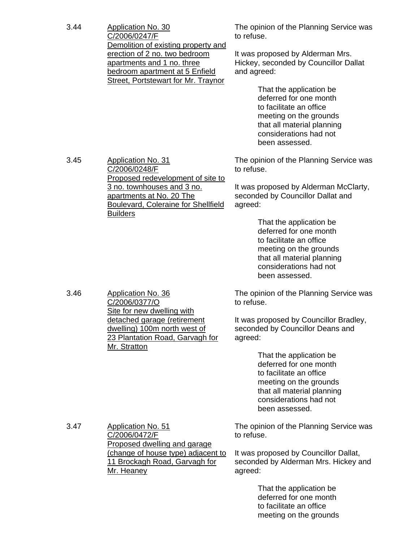| 3.44 | Application No. 30<br>C/2006/0247/F<br>Demolition of existing property and                                                                  | The opinion of the Planning Service was<br>to refuse.                                                                                                                            |
|------|---------------------------------------------------------------------------------------------------------------------------------------------|----------------------------------------------------------------------------------------------------------------------------------------------------------------------------------|
|      | erection of 2 no. two bedroom<br>apartments and 1 no. three<br>bedroom apartment at 5 Enfield<br><b>Street, Portstewart for Mr. Traynor</b> | It was proposed by Alderman Mrs.<br>Hickey, seconded by Councillor Dallat<br>and agreed:                                                                                         |
|      |                                                                                                                                             | That the application be<br>deferred for one month<br>to facilitate an office<br>meeting on the grounds<br>that all material planning<br>considerations had not<br>been assessed. |
| 3.45 | <b>Application No. 31</b><br>C/2006/0248/F<br>Proposed redevelopment of site to                                                             | The opinion of the Planning Service was<br>to refuse.                                                                                                                            |
|      | 3 no. townhouses and 3 no.<br>apartments at No. 20 The<br><b>Boulevard, Coleraine for Shellfield</b><br><b>Builders</b>                     | It was proposed by Alderman McClarty,<br>seconded by Councillor Dallat and<br>agreed:                                                                                            |
|      |                                                                                                                                             | That the application be<br>deferred for one month<br>to facilitate an office<br>meeting on the grounds<br>that all material planning<br>considerations had not<br>been assessed. |
| 3.46 | <b>Application No. 36</b><br>C/2006/0377/O<br>Site for new dwelling with                                                                    | The opinion of the Planning Service was<br>to refuse.                                                                                                                            |
|      | detached garage (retirement<br>dwelling) 100m north west of<br>23 Plantation Road, Garvagh for<br>Mr. Stratton                              | It was proposed by Councillor Bradley,<br>seconded by Councillor Deans and<br>agreed:                                                                                            |
|      |                                                                                                                                             | That the application be<br>deferred for one month<br>to facilitate an office<br>meeting on the grounds<br>that all material planning<br>considerations had not<br>been assessed. |
| 3.47 | <b>Application No. 51</b><br>C/2006/0472/F<br>Proposed dwelling and garage                                                                  | The opinion of the Planning Service was<br>to refuse.                                                                                                                            |
|      | (change of house type) adjacent to<br>11 Brockagh Road, Garvagh for<br>Mr. Heaney                                                           | It was proposed by Councillor Dallat,<br>seconded by Alderman Mrs. Hickey and<br>agreed:                                                                                         |
|      |                                                                                                                                             | That the application be<br>deferred for one month<br>to facilitate an office<br>meeting on the grounds                                                                           |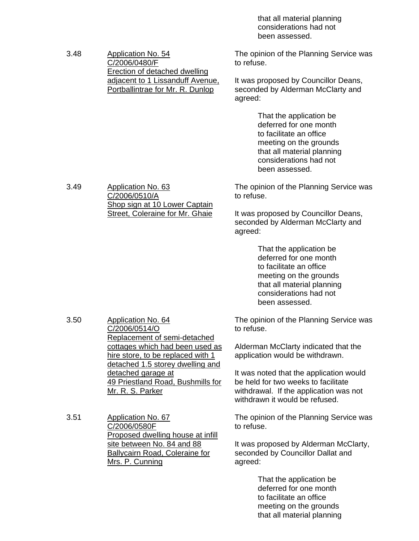that all material planning considerations had not been assessed.

3.48 Application No. 54 C/2006/0480/F Erection of detached dwelling adjacent to 1 Lissanduff Avenue, Portballintrae for Mr. R. Dunlop

The opinion of the Planning Service was to refuse.

It was proposed by Councillor Deans, seconded by Alderman McClarty and agreed:

> That the application be deferred for one month to facilitate an office meeting on the grounds that all material planning considerations had not been assessed.

3.49 Application No. 63 C/2006/0510/A Shop sign at 10 Lower Captain Street, Coleraine for Mr. Ghaie

The opinion of the Planning Service was to refuse.

It was proposed by Councillor Deans, seconded by Alderman McClarty and agreed:

> That the application be deferred for one month to facilitate an office meeting on the grounds that all material planning considerations had not been assessed.

The opinion of the Planning Service was to refuse.

Alderman McClarty indicated that the application would be withdrawn.

It was noted that the application would be held for two weeks to facilitate withdrawal. If the application was not withdrawn it would be refused.

The opinion of the Planning Service was to refuse.

It was proposed by Alderman McClarty, seconded by Councillor Dallat and agreed:

> That the application be deferred for one month to facilitate an office meeting on the grounds that all material planning

3.50 Application No. 64 C/2006/0514/O Replacement of semi-detached cottages which had been used as hire store, to be replaced with 1 detached 1.5 storey dwelling and detached garage at 49 Priestland Road, Bushmills for Mr. R. S. Parker

3.51 Application No. 67 C/2006/0580F Proposed dwelling house at infill site between No. 84 and 88 Ballycairn Road, Coleraine for Mrs. P. Cunning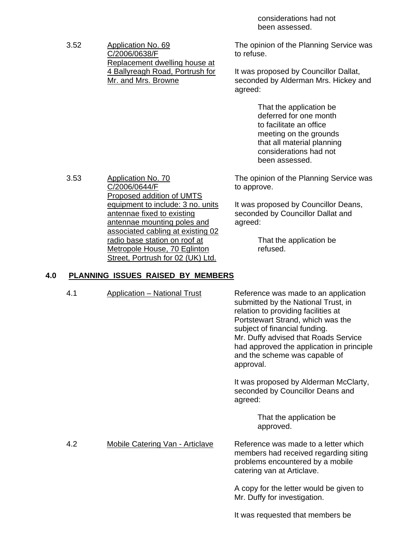considerations had not been assessed.

3.52 Application No. 69 C/2006/0638/F Replacement dwelling house at 4 Ballyreagh Road, Portrush for Mr. and Mrs. Browne

The opinion of the Planning Service was to refuse.

It was proposed by Councillor Dallat, seconded by Alderman Mrs. Hickey and agreed:

> That the application be deferred for one month to facilitate an office meeting on the grounds that all material planning considerations had not been assessed.

The opinion of the Planning Service was to approve.

It was proposed by Councillor Deans, seconded by Councillor Dallat and agreed:

> That the application be refused.

#### **4.0 PLANNING ISSUES RAISED BY MEMBERS**

4.1 Application – National Trust Reference was made to an application submitted by the National Trust, in relation to providing facilities at Portstewart Strand, which was the subject of financial funding. Mr. Duffy advised that Roads Service had approved the application in principle and the scheme was capable of approval. It was proposed by Alderman McClarty, seconded by Councillor Deans and agreed: That the application be approved. 4.2 Mobile Catering Van - Articlave Reference was made to a letter which members had received regarding siting problems encountered by a mobile catering van at Articlave.

> A copy for the letter would be given to Mr. Duffy for investigation.

It was requested that members be

3.53 Application No. 70 C/2006/0644/F Proposed addition of UMTS equipment to include: 3 no. units antennae fixed to existing antennae mounting poles and associated cabling at existing 02 radio base station on roof at Metropole House, 70 Eglinton Street, Portrush for 02 (UK) Ltd.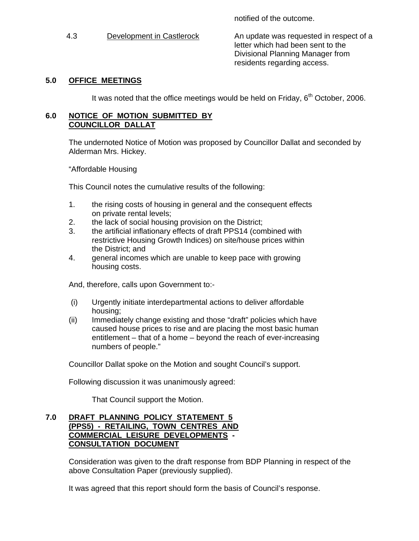notified of the outcome.

4.3 Development in Castlerock An update was requested in respect of a letter which had been sent to the Divisional Planning Manager from residents regarding access.

## **5.0 OFFICE MEETINGS**

It was noted that the office meetings would be held on Friday,  $6<sup>th</sup>$  October, 2006.

#### **6.0 NOTICE OF MOTION SUBMITTED BY COUNCILLOR DALLAT**

The undernoted Notice of Motion was proposed by Councillor Dallat and seconded by Alderman Mrs. Hickey.

"Affordable Housing

This Council notes the cumulative results of the following:

- 1. the rising costs of housing in general and the consequent effects on private rental levels;
- 2. the lack of social housing provision on the District;
- 3. the artificial inflationary effects of draft PPS14 (combined with restrictive Housing Growth Indices) on site/house prices within the District; and
- 4. general incomes which are unable to keep pace with growing housing costs.

And, therefore, calls upon Government to:-

- (i) Urgently initiate interdepartmental actions to deliver affordable housing;
- (ii) Immediately change existing and those "draft" policies which have caused house prices to rise and are placing the most basic human entitlement – that of a home – beyond the reach of ever-increasing numbers of people."

Councillor Dallat spoke on the Motion and sought Council's support.

Following discussion it was unanimously agreed:

That Council support the Motion.

#### **7.0 DRAFT PLANNING POLICY STATEMENT 5 (PPS5) - RETAILING, TOWN CENTRES AND COMMERCIAL LEISURE DEVELOPMENTS - CONSULTATION DOCUMENT**

 Consideration was given to the draft response from BDP Planning in respect of the above Consultation Paper (previously supplied).

It was agreed that this report should form the basis of Council's response.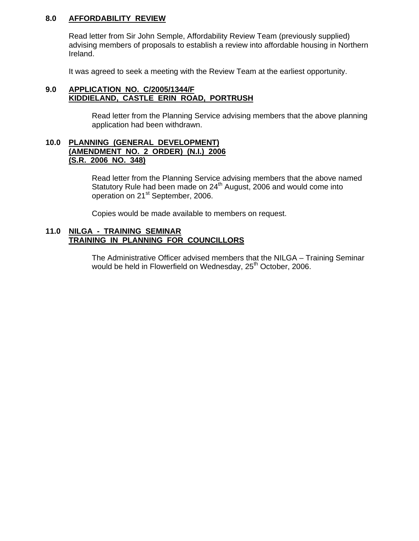#### **8.0 AFFORDABILITY REVIEW**

 Read letter from Sir John Semple, Affordability Review Team (previously supplied) advising members of proposals to establish a review into affordable housing in Northern Ireland.

It was agreed to seek a meeting with the Review Team at the earliest opportunity.

#### **9.0 APPLICATION NO. C/2005/1344/F KIDDIELAND, CASTLE ERIN ROAD, PORTRUSH**

Read letter from the Planning Service advising members that the above planning application had been withdrawn.

#### **10.0 PLANNING (GENERAL DEVELOPMENT) (AMENDMENT NO. 2 ORDER) (N.I.) 2006 (S.R. 2006 NO. 348)**

 Read letter from the Planning Service advising members that the above named Statutory Rule had been made on 24<sup>th</sup> August, 2006 and would come into operation on 21st September, 2006.

Copies would be made available to members on request.

#### **11.0 NILGA - TRAINING SEMINAR TRAINING IN PLANNING FOR COUNCILLORS**

 The Administrative Officer advised members that the NILGA – Training Seminar would be held in Flowerfield on Wednesday, 25<sup>th</sup> October, 2006.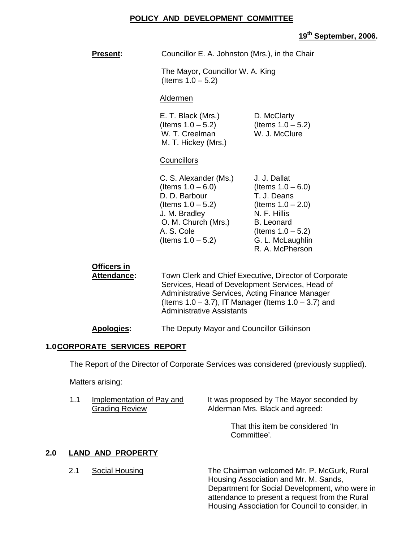#### **POLICY AND DEVELOPMENT COMMITTEE**

# **19th September, 2006.**

| <b>Present:</b>                   | Councillor E. A. Johnston (Mrs.), in the Chair                                                                                                                                                                                                               |                                                                                                                                                                                 |
|-----------------------------------|--------------------------------------------------------------------------------------------------------------------------------------------------------------------------------------------------------------------------------------------------------------|---------------------------------------------------------------------------------------------------------------------------------------------------------------------------------|
|                                   | The Mayor, Councillor W. A. King<br>(Items $1.0 - 5.2$ )                                                                                                                                                                                                     |                                                                                                                                                                                 |
|                                   | <b>Aldermen</b>                                                                                                                                                                                                                                              |                                                                                                                                                                                 |
|                                   | E. T. Black (Mrs.)<br>(Items $1.0 - 5.2$ )<br>W. T. Creelman<br>M. T. Hickey (Mrs.)                                                                                                                                                                          | D. McClarty<br>(Items $1.0 - 5.2$ )<br>W. J. McClure                                                                                                                            |
|                                   | Councillors                                                                                                                                                                                                                                                  |                                                                                                                                                                                 |
|                                   | C. S. Alexander (Ms.)<br>(Items $1.0 - 6.0$ )<br>D. D. Barbour<br>(Items $1.0 - 5.2$ )<br>J. M. Bradley<br>O. M. Church (Mrs.)<br>A. S. Cole<br>(Items $1.0 - 5.2$ )                                                                                         | J. J. Dallat<br>(Items $1.0 - 6.0$ )<br>T. J. Deans<br>(Items $1.0 - 2.0$ )<br>N. F. Hillis<br><b>B.</b> Leonard<br>(Items $1.0 - 5.2$ )<br>G. L. McLaughlin<br>R. A. McPherson |
| Officers in<br><b>Attendance:</b> | Town Clerk and Chief Executive, Director of Corporate<br>Services, Head of Development Services, Head of<br>Administrative Services, Acting Finance Manager<br>(Items $1.0 - 3.7$ ), IT Manager (Items $1.0 - 3.7$ ) and<br><b>Administrative Assistants</b> |                                                                                                                                                                                 |

#### **Apologies:** The Deputy Mayor and Councillor Gilkinson

#### **1.0 CORPORATE SERVICES REPORT**

The Report of the Director of Corporate Services was considered (previously supplied).

Matters arising:

| 1.1 | Implementation of Pay and | It was proposed by The Mayor seconded by |
|-----|---------------------------|------------------------------------------|
|     | <b>Grading Review</b>     | Alderman Mrs. Black and agreed:          |

That this item be considered 'In Committee'.

# **2.0 LAND AND PROPERTY**

2.1 Social Housing The Chairman welcomed Mr. P. McGurk, Rural Housing Association and Mr. M. Sands, Department for Social Development, who were in attendance to present a request from the Rural Housing Association for Council to consider, in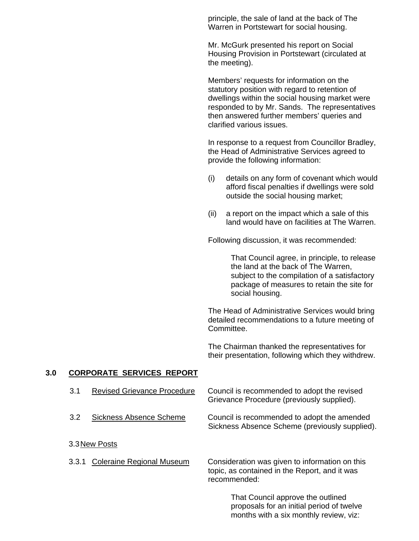principle, the sale of land at the back of The Warren in Portstewart for social housing.

Mr. McGurk presented his report on Social Housing Provision in Portstewart (circulated at the meeting).

Members' requests for information on the statutory position with regard to retention of dwellings within the social housing market were responded to by Mr. Sands. The representatives then answered further members' queries and clarified various issues.

In response to a request from Councillor Bradley, the Head of Administrative Services agreed to provide the following information:

- (i) details on any form of covenant which would afford fiscal penalties if dwellings were sold outside the social housing market;
- (ii) a report on the impact which a sale of this land would have on facilities at The Warren.

Following discussion, it was recommended:

 That Council agree, in principle, to release the land at the back of The Warren, subject to the compilation of a satisfactory package of measures to retain the site for social housing.

The Head of Administrative Services would bring detailed recommendations to a future meeting of Committee.

The Chairman thanked the representatives for their presentation, following which they withdrew.

months with a six monthly review, viz:

#### **3.0 CORPORATE SERVICES REPORT**

| 3.1           | <b>Revised Grievance Procedure</b> | Council is recommended to adopt the revised<br>Grievance Procedure (previously supplied).                       |  |
|---------------|------------------------------------|-----------------------------------------------------------------------------------------------------------------|--|
| 3.2           | <b>Sickness Absence Scheme</b>     | Council is recommended to adopt the amended<br>Sickness Absence Scheme (previously supplied).                   |  |
| 3.3 New Posts |                                    |                                                                                                                 |  |
| 3.3.1         | <b>Coleraine Regional Museum</b>   | Consideration was given to information on this<br>topic, as contained in the Report, and it was<br>recommended: |  |
|               |                                    | That Council approve the outlined<br>proposals for an initial period of twelve                                  |  |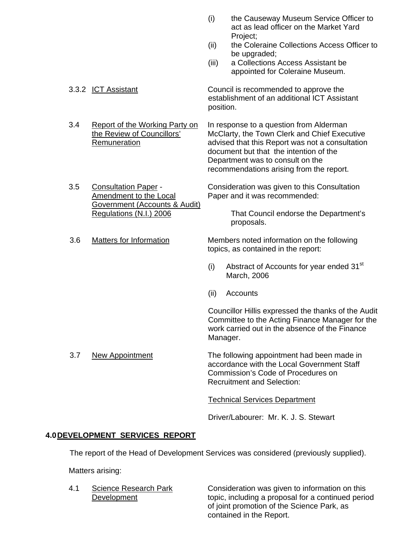- (i) the Causeway Museum Service Officer to act as lead officer on the Market Yard Project;
- (ii) the Coleraine Collections Access Officer to be upgraded:
- (iii) a Collections Access Assistant be appointed for Coleraine Museum.

3.3.2 ICT Assistant Council is recommended to approve the establishment of an additional ICT Assistant position.

 3.4 Report of the Working Party on In response to a question from Alderman the Review of Councillors' McClarty, the Town Clerk and Chief Executive Remuneration advised that this Report was not a consultation document but that the intention of the Department was to consult on the

recommendations arising from the report. 3.5 Consultation Paper - Consideration was given to this Consultation

 Amendment to the Local Paper and it was recommended: Government (Accounts & Audit)

Regulations (N.I.) 2006 That Council endorse the Department's proposals.

3.6 Matters for Information Members noted information on the following topics, as contained in the report:

- (i) Abstract of Accounts for year ended  $31<sup>st</sup>$ March, 2006
- (ii) Accounts

Councillor Hillis expressed the thanks of the Audit Committee to the Acting Finance Manager for the work carried out in the absence of the Finance Manager.

3.7 New Appointment The following appointment had been made in accordance with the Local Government Staff Commission's Code of Procedures on Recruitment and Selection:

Technical Services Department

Driver/Labourer: Mr. K. J. S. Stewart

# **4.0 DEVELOPMENT SERVICES REPORT**

The report of the Head of Development Services was considered (previously supplied).

Matters arising:

4.1 Science Research Park Consideration was given to information on this Development topic, including a proposal for a continued period of joint promotion of the Science Park, as contained in the Report.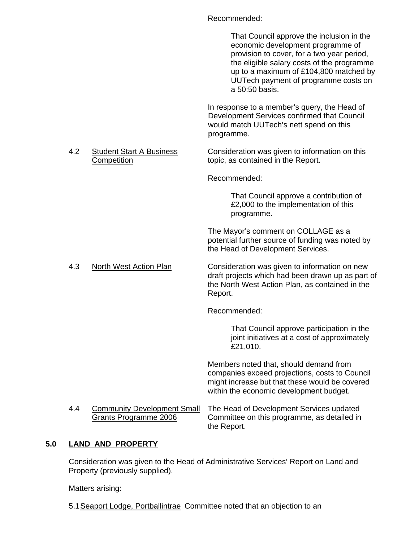Recommended:

That Council approve the inclusion in the economic development programme of provision to cover, for a two year period, the eligible salary costs of the programme up to a maximum of £104,800 matched by UUTech payment of programme costs on a 50:50 basis. In response to a member's query, the Head of Development Services confirmed that Council would match UUTech's nett spend on this programme.

4.2 Student Start A Business Consideration was given to information on this Competition topic, as contained in the Report.

Recommended:

 That Council approve a contribution of £2,000 to the implementation of this programme.

 The Mayor's comment on COLLAGE as a potential further source of funding was noted by the Head of Development Services.

4.3 North West Action Plan Consideration was given to information on new draft projects which had been drawn up as part of the North West Action Plan, as contained in the Report.

Recommended:

 That Council approve participation in the joint initiatives at a cost of approximately £21,010.

Members noted that, should demand from companies exceed projections, costs to Council might increase but that these would be covered within the economic development budget.

4.4 Community Development Small The Head of Development Services updated Grants Programme 2006 Committee on this programme, as detailed in the Report.

# **5.0 LAND AND PROPERTY**

 Consideration was given to the Head of Administrative Services' Report on Land and Property (previously supplied).

Matters arising:

5.1 Seaport Lodge, Portballintrae Committee noted that an objection to an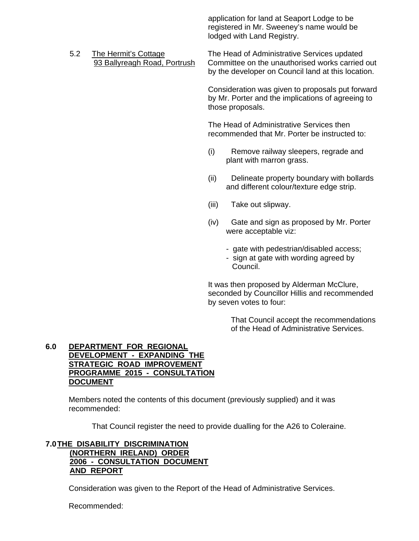application for land at Seaport Lodge to be registered in Mr. Sweeney's name would be lodged with Land Registry.

 5.2 The Hermit's Cottage The Head of Administrative Services updated 93 Ballyreagh Road, Portrush Committee on the unauthorised works carried out by the developer on Council land at this location.

> Consideration was given to proposals put forward by Mr. Porter and the implications of agreeing to those proposals.

The Head of Administrative Services then recommended that Mr. Porter be instructed to:

- (i) Remove railway sleepers, regrade and plant with marron grass.
- (ii) Delineate property boundary with bollards and different colour/texture edge strip.
- (iii) Take out slipway.
- (iv) Gate and sign as proposed by Mr. Porter were acceptable viz:
	- gate with pedestrian/disabled access; - sign at gate with wording agreed by Council.

It was then proposed by Alderman McClure, seconded by Councillor Hillis and recommended by seven votes to four:

> That Council accept the recommendations of the Head of Administrative Services.

#### **6.0 DEPARTMENT FOR REGIONAL DEVELOPMENT - EXPANDING THE STRATEGIC ROAD IMPROVEMENT PROGRAMME 2015 - CONSULTATION DOCUMENT**

 Members noted the contents of this document (previously supplied) and it was recommended:

That Council register the need to provide dualling for the A26 to Coleraine.

## **7.0 THE DISABILITY DISCRIMINATION (NORTHERN IRELAND) ORDER 2006 - CONSULTATION DOCUMENT AND REPORT**

Consideration was given to the Report of the Head of Administrative Services.

Recommended: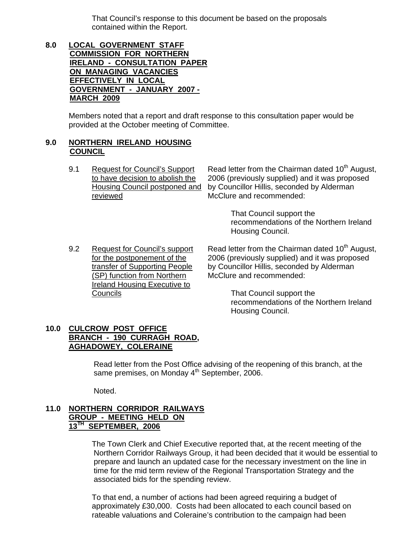That Council's response to this document be based on the proposals contained within the Report.

**8.0 LOCAL GOVERNMENT STAFF COMMISSION FOR NORTHERN IRELAND - CONSULTATION PAPER ON MANAGING VACANCIES EFFECTIVELY IN LOCAL GOVERNMENT - JANUARY 2007 - MARCH 2009**

> Members noted that a report and draft response to this consultation paper would be provided at the October meeting of Committee.

#### **9.0 NORTHERN IRELAND HOUSING COUNCIL**

9.1 Request for Council's Support Read letter from the Chairman dated  $10^{th}$  August, to have decision to abolish the 2006 (previously supplied) and it was proposed Housing Council postponed and by Councillor Hillis, seconded by Alderman reviewed McClure and recommended:

> That Council support the recommendations of the Northern Ireland Housing Council.

(SP) function from Northern McClure and recommended: Ireland Housing Executive to Councils That Council support the

9.2 Request for Council's support Read letter from the Chairman dated  $10^{th}$  August, for the postponement of the 2006 (previously supplied) and it was proposed transfer of Supporting People by Councillor Hillis, seconded by Alderman

> recommendations of the Northern Ireland Housing Council.

#### **10.0 CULCROW POST OFFICE BRANCH - 190 CURRAGH ROAD, AGHADOWEY, COLERAINE**

Read letter from the Post Office advising of the reopening of this branch, at the same premises, on Monday 4<sup>th</sup> September, 2006.

Noted.

#### **11.0 NORTHERN CORRIDOR RAILWAYS GROUP - MEETING HELD ON 13TH SEPTEMBER, 2006**

The Town Clerk and Chief Executive reported that, at the recent meeting of the Northern Corridor Railways Group, it had been decided that it would be essential to prepare and launch an updated case for the necessary investment on the line in time for the mid term review of the Regional Transportation Strategy and the associated bids for the spending review.

To that end, a number of actions had been agreed requiring a budget of approximately £30,000. Costs had been allocated to each council based on rateable valuations and Coleraine's contribution to the campaign had been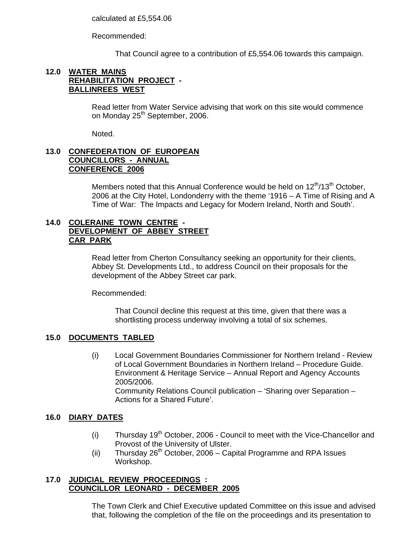calculated at £5,554.06

Recommended:

That Council agree to a contribution of £5,554.06 towards this campaign.

#### **12.0 WATER MAINS REHABILITATION PROJECT - BALLINREES WEST**

Read letter from Water Service advising that work on this site would commence on Monday 25<sup>th</sup> September, 2006.

Noted.

#### **13.0 CONFEDERATION OF EUROPEAN COUNCILLORS - ANNUAL CONFERENCE 2006**

Members noted that this Annual Conference would be held on  $12<sup>th</sup>/13<sup>th</sup>$  October, 2006 at the City Hotel, Londonderry with the theme '1916 – A Time of Rising and A Time of War: The Impacts and Legacy for Modern Ireland, North and South'.

## **14.0 COLERAINE TOWN CENTRE - DEVELOPMENT OF ABBEY STREET CAR PARK**

Read letter from Cherton Consultancy seeking an opportunity for their clients, Abbey St. Developments Ltd., to address Council on their proposals for the development of the Abbey Street car park.

Recommended:

 That Council decline this request at this time, given that there was a shortlisting process underway involving a total of six schemes.

#### **15.0 DOCUMENTS TABLED**

(i) Local Government Boundaries Commissioner for Northern Ireland - Review of Local Government Boundaries in Northern Ireland – Procedure Guide. Environment & Heritage Service – Annual Report and Agency Accounts 2005/2006. Community Relations Council publication – 'Sharing over Separation – Actions for a Shared Future'.

#### **16.0 DIARY DATES**

- (i) Thursday  $19<sup>th</sup>$  October, 2006 Council to meet with the Vice-Chancellor and Provost of the University of Ulster.
- (ii) Thursday  $26<sup>th</sup>$  October, 2006 Capital Programme and RPA Issues Workshop.

# **17.0 JUDICIAL REVIEW PROCEEDINGS : COUNCILLOR LEONARD - DECEMBER 2005**

 The Town Clerk and Chief Executive updated Committee on this issue and advised that, following the completion of the file on the proceedings and its presentation to